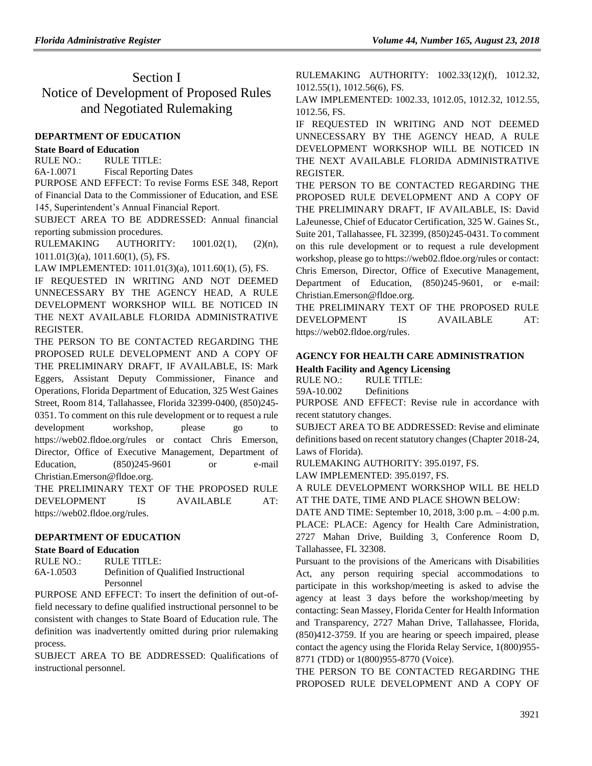# Section I Notice of Development of Proposed Rules and Negotiated Rulemaking

### **[DEPARTMENT OF EDUCATION](https://www.flrules.org/gateway/department.asp?id=6)**

#### **[State Board of Education](https://www.flrules.org/gateway/organization.asp?id=195)**

RULE NO.: RULE TITLE:

[6A-1.0071](https://www.flrules.org/gateway/ruleNo.asp?id=6A-1.0071) Fiscal Reporting Dates

PURPOSE AND EFFECT: To revise Forms ESE 348, Report of Financial Data to the Commissioner of Education, and ESE 145, Superintendent's Annual Financial Report.

SUBJECT AREA TO BE ADDRESSED: Annual financial reporting submission procedures.

RULEMAKING AUTHORITY:  $1001.02(1)$ ,  $(2)(n)$ , [1011.01\(3\)\(a\),](https://www.flrules.org/gateway/statute.asp?id=%201011.01(3)(a)) [1011.60\(1\),](https://www.flrules.org/gateway/statute.asp?id=%201011.60(1)) (5), FS.

LAW IMPLEMENTED: [1011.01\(3\)\(a\),](https://www.flrules.org/gateway/statute.asp?id=1011.01(3)(a)) [1011.60\(1\),](https://www.flrules.org/gateway/statute.asp?id=%201011.60(1)) (5), FS.

IF REQUESTED IN WRITING AND NOT DEEMED UNNECESSARY BY THE AGENCY HEAD, A RULE DEVELOPMENT WORKSHOP WILL BE NOTICED IN THE NEXT AVAILABLE FLORIDA ADMINISTRATIVE REGISTER.

THE PERSON TO BE CONTACTED REGARDING THE PROPOSED RULE DEVELOPMENT AND A COPY OF THE PRELIMINARY DRAFT, IF AVAILABLE, IS: Mark Eggers, Assistant Deputy Commissioner, Finance and Operations, Florida Department of Education, 325 West Gaines Street, Room 814, Tallahassee, Florida 32399-0400, (850)245- 0351. To comment on this rule development or to request a rule development workshop, please go to https://web02.fldoe.org/rules or contact Chris Emerson, Director, Office of Executive Management, Department of Education, (850)245-9601 or e-mail Christian.Emerson@fldoe.org.

THE PRELIMINARY TEXT OF THE PROPOSED RULE DEVELOPMENT IS AVAILABLE AT: [https://web02.fldoe.org/rules.](https://web02.fldoe.org/rules) 

## **[DEPARTMENT OF EDUCATION](https://www.flrules.org/gateway/department.asp?id=6)**

### **[State Board of Education](https://www.flrules.org/gateway/organization.asp?id=195)**

RULE NO.: RULE TITLE: [6A-1.0503](https://www.flrules.org/gateway/ruleNo.asp?id=6A-1.0503) Definition of Qualified Instructional Personnel

PURPOSE AND EFFECT: To insert the definition of out-offield necessary to define qualified instructional personnel to be consistent with changes to State Board of Education rule. The definition was inadvertently omitted during prior rulemaking process.

SUBJECT AREA TO BE ADDRESSED: Qualifications of instructional personnel.

RULEMAKING AUTHORITY: [1002.33\(12\)\(f\),](https://www.flrules.org/gateway/statute.asp?id=1002.33(12)(f)) [1012.32,](https://www.flrules.org/gateway/statute.asp?id=%201012.32) [1012.55\(1\),](https://www.flrules.org/gateway/statute.asp?id=%201012.55(1)) [1012.56\(6\),](https://www.flrules.org/gateway/statute.asp?id=%201012.56(6)) FS.

LAW IMPLEMENTED: [1002.33,](https://www.flrules.org/gateway/statute.asp?id=1002.33) [1012.05,](https://www.flrules.org/gateway/statute.asp?id=%201012.05) [1012.32,](https://www.flrules.org/gateway/statute.asp?id=%201012.32) [1012.55,](https://www.flrules.org/gateway/statute.asp?id=%201012.55) [1012.56,](https://www.flrules.org/gateway/statute.asp?id=%201012.56) FS.

IF REQUESTED IN WRITING AND NOT DEEMED UNNECESSARY BY THE AGENCY HEAD, A RULE DEVELOPMENT WORKSHOP WILL BE NOTICED IN THE NEXT AVAILABLE FLORIDA ADMINISTRATIVE REGISTER.

THE PERSON TO BE CONTACTED REGARDING THE PROPOSED RULE DEVELOPMENT AND A COPY OF THE PRELIMINARY DRAFT, IF AVAILABLE, IS: David LaJeunesse, Chief of Educator Certification, 325 W. Gaines St., Suite 201, Tallahassee, FL 32399, (850)245-0431. To comment on this rule development or to request a rule development workshop, please go to https://web02.fldoe.org/rules or contact: Chris Emerson, Director, Office of Executive Management, Department of Education, (850)245-9601, or e-mail: Christian.Emerson@fldoe.org.

THE PRELIMINARY TEXT OF THE PROPOSED RULE DEVELOPMENT IS AVAILABLE AT: [https://web02.fldoe.org/rules.](https://web02.fldoe.org/rules)

# **[AGENCY FOR HEALTH CARE ADMINISTRATION](https://www.flrules.org/gateway/department.asp?id=59)**

**[Health Facility and Agency Licensing](https://www.flrules.org/gateway/organization.asp?id=186)**

RULE NO.: RULE TITLE:

[59A-10.002](https://www.flrules.org/gateway/ruleNo.asp?id=59A-10.002) Definitions

PURPOSE AND EFFECT: Revise rule in accordance with recent statutory changes.

SUBJECT AREA TO BE ADDRESSED: Revise and eliminate definitions based on recent statutory changes (Chapter 2018-24, Laws of Florida).

RULEMAKING AUTHORITY: [395.0197,](https://www.flrules.org/gateway/statute.asp?id=395.0197) FS.

LAW IMPLEMENTED: [395.0197,](https://www.flrules.org/gateway/statute.asp?id=395.0197) FS.

A RULE DEVELOPMENT WORKSHOP WILL BE HELD AT THE DATE, TIME AND PLACE SHOWN BELOW:

DATE AND TIME: September 10, 2018, 3:00 p.m. – 4:00 p.m. PLACE: PLACE: Agency for Health Care Administration, 2727 Mahan Drive, Building 3, Conference Room D, Tallahassee, FL 32308.

Pursuant to the provisions of the Americans with Disabilities Act, any person requiring special accommodations to participate in this workshop/meeting is asked to advise the agency at least 3 days before the workshop/meeting by contacting: Sean Massey, Florida Center for Health Information and Transparency, 2727 Mahan Drive, Tallahassee, Florida, (850)412-3759. If you are hearing or speech impaired, please contact the agency using the Florida Relay Service, 1(800)955- 8771 (TDD) or 1(800)955-8770 (Voice).

THE PERSON TO BE CONTACTED REGARDING THE PROPOSED RULE DEVELOPMENT AND A COPY OF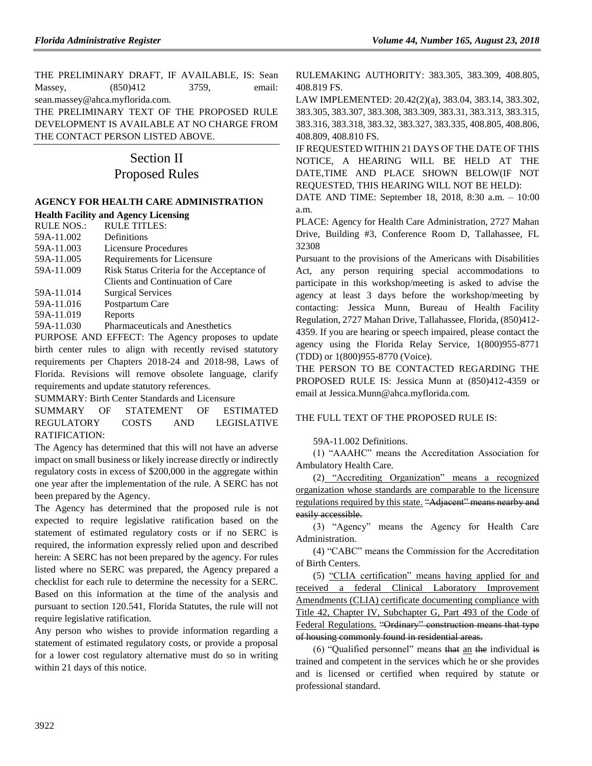THE PRELIMINARY DRAFT, IF AVAILABLE, IS: Sean Massey, (850)412 3759, email: sean.massey@ahca.myflorida.com.

THE PRELIMINARY TEXT OF THE PROPOSED RULE DEVELOPMENT IS AVAILABLE AT NO CHARGE FROM THE CONTACT PERSON LISTED ABOVE.

# Section II Proposed Rules

# **[AGENCY FOR HEALTH CARE ADMINISTRATION](https://www.flrules.org/gateway/department.asp?id=59)**

### **[Health Facility and Agency Licensing](https://www.flrules.org/gateway/organization.asp?id=186)**

| <b>RULE NOS.:</b> | <b>RULE TITLES:</b>                             |
|-------------------|-------------------------------------------------|
| 59A-11.002        | Definitions                                     |
| 59A-11.003        | <b>Licensure Procedures</b>                     |
| 59A-11.005        | Requirements for Licensure                      |
| 59A-11.009        | Risk Status Criteria for the Acceptance of      |
|                   | Clients and Continuation of Care                |
| 59A-11.014        | <b>Surgical Services</b>                        |
| 59A-11.016        | Postpartum Care                                 |
| 59A-11.019        | Reports                                         |
| 59A-11.030        | Pharmaceuticals and Anesthetics                 |
|                   | DUDDOCE AND EFFECT. The Agency proposes to unde |

PURPOSE AND EFFECT: The Agency proposes to update birth center rules to align with recently revised statutory requirements per Chapters 2018-24 and 2018-98, Laws of Florida. Revisions will remove obsolete language, clarify requirements and update statutory references.

SUMMARY: Birth Center Standards and Licensure

SUMMARY OF STATEMENT OF ESTIMATED REGULATORY COSTS AND LEGISLATIVE RATIFICATION:

The Agency has determined that this will not have an adverse impact on small business or likely increase directly or indirectly regulatory costs in excess of \$200,000 in the aggregate within one year after the implementation of the rule. A SERC has not been prepared by the Agency.

The Agency has determined that the proposed rule is not expected to require legislative ratification based on the statement of estimated regulatory costs or if no SERC is required, the information expressly relied upon and described herein: A SERC has not been prepared by the agency. For rules listed where no SERC was prepared, the Agency prepared a checklist for each rule to determine the necessity for a SERC. Based on this information at the time of the analysis and pursuant to section 120.541, Florida Statutes, the rule will not require legislative ratification.

Any person who wishes to provide information regarding a statement of estimated regulatory costs, or provide a proposal for a lower cost regulatory alternative must do so in writing within 21 days of this notice.

RULEMAKING AUTHORITY: [383.305,](https://www.flrules.org/gateway/statute.asp?id=383.305) [383.309,](https://www.flrules.org/gateway/statute.asp?id=%20383.309) [408.805,](https://www.flrules.org/gateway/statute.asp?id=%20408.805) [408.819 FS.](https://www.flrules.org/gateway/statute.asp?id=%20408.819%20FS.)

LAW IMPLEMENTED: [20.42\(2\)\(a\),](https://www.flrules.org/gateway/statute.asp?id=20.42(2)(a)) [383.04,](https://www.flrules.org/gateway/statute.asp?id=%20383.04) [383.14,](https://www.flrules.org/gateway/statute.asp?id=%20383.14) [383.302,](https://www.flrules.org/gateway/statute.asp?id=%20383.302) [383.305,](https://www.flrules.org/gateway/statute.asp?id=%20383.305) [383.307,](https://www.flrules.org/gateway/statute.asp?id=%20%20383.307) [383.308,](https://www.flrules.org/gateway/statute.asp?id=%20383.308) [383.309,](https://www.flrules.org/gateway/statute.asp?id=%20383.309) [383.31,](https://www.flrules.org/gateway/statute.asp?id=%20383.31) [383.313,](https://www.flrules.org/gateway/statute.asp?id=%20383.313) [383.315,](https://www.flrules.org/gateway/statute.asp?id=%20383.315) [383.316,](https://www.flrules.org/gateway/statute.asp?id=%20383.316) [383.318,](https://www.flrules.org/gateway/statute.asp?id=%20383.318) [383.32,](https://www.flrules.org/gateway/statute.asp?id=%20383.32) [383.327,](https://www.flrules.org/gateway/statute.asp?id=%20383.327) [383.335,](https://www.flrules.org/gateway/statute.asp?id=%20383.335) [408.805,](https://www.flrules.org/gateway/statute.asp?id=%20%20408.805) [408.806,](https://www.flrules.org/gateway/statute.asp?id=%20408.806) [408.809,](https://www.flrules.org/gateway/statute.asp?id=%20408.809) [408.810 FS.](https://www.flrules.org/gateway/statute.asp?id=%20408.810%20FS.)

IF REQUESTED WITHIN 21 DAYS OF THE DATE OF THIS NOTICE, A HEARING WILL BE HELD AT THE DATE,TIME AND PLACE SHOWN BELOW(IF NOT REQUESTED, THIS HEARING WILL NOT BE HELD):

DATE AND TIME: September 18, 2018, 8:30 a.m. – 10:00 a.m.

PLACE: Agency for Health Care Administration, 2727 Mahan Drive, Building #3, Conference Room D, Tallahassee, FL 32308

Pursuant to the provisions of the Americans with Disabilities Act, any person requiring special accommodations to participate in this workshop/meeting is asked to advise the agency at least 3 days before the workshop/meeting by contacting: Jessica Munn, Bureau of Health Facility Regulation, 2727 Mahan Drive, Tallahassee, Florida, (850)412- 4359. If you are hearing or speech impaired, please contact the agency using the Florida Relay Service, 1(800)955-8771 (TDD) or 1(800)955-8770 (Voice).

THE PERSON TO BE CONTACTED REGARDING THE PROPOSED RULE IS: Jessica Munn at (850)412-4359 or email at Jessica.Munn@ahca.myflorida.com.

## THE FULL TEXT OF THE PROPOSED RULE IS.

## 59A-11.002 Definitions.

(1) "AAAHC" means the Accreditation Association for Ambulatory Health Care.

(2) "Accrediting Organization" means a recognized organization whose standards are comparable to the licensure regulations required by this state. "Adjacent" means nearby and easily accessible.

(3) "Agency" means the Agency for Health Care Administration.

(4) "CABC" means the Commission for the Accreditation of Birth Centers.

(5) "CLIA certification" means having applied for and received a federal Clinical Laboratory Improvement Amendments (CLIA) certificate documenting compliance with Title 42, Chapter IV, Subchapter G, Part 493 of the Code of Federal Regulations. "Ordinary" construction means that type of housing commonly found in residential areas.

(6) "Qualified personnel" means that an the individual is trained and competent in the services which he or she provides and is licensed or certified when required by statute or professional standard.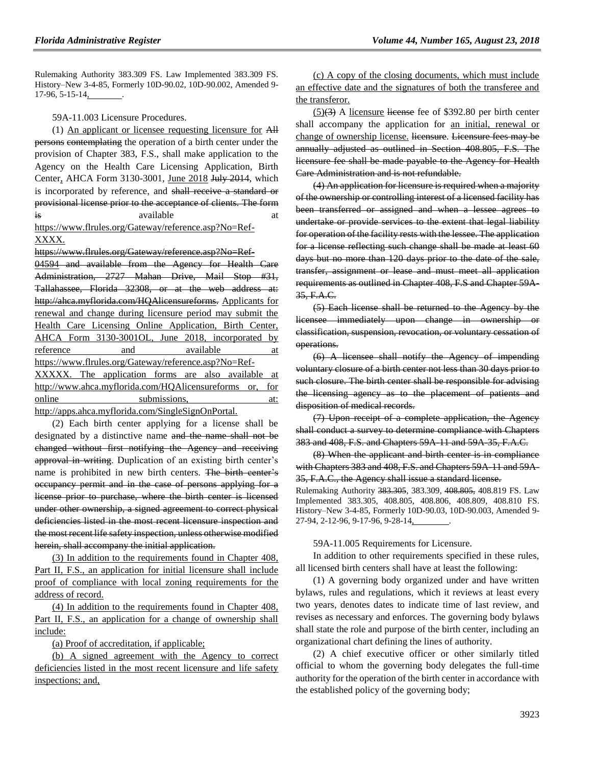Rulemaking Authority 383.309 FS. Law Implemented 383.309 FS. History–New 3-4-85, Formerly 10D-90.02, 10D-90.002, Amended 9- 17-96, 5-15-14, .

59A-11.003 Licensure Procedures.

(1) An applicant or licensee requesting licensure for All persons contemplating the operation of a birth center under the provision of Chapter 383, F.S., shall make application to the Agency on the Health Care Licensing Application, Birth Center, AHCA Form 3130-3001, June 2018 July 2014, which is incorporated by reference, and shall receive a standard or provisional license prior to the acceptance of clients. The form is available at a state at the set of  $\alpha$ [https://www.flrules.org/Gateway/reference.asp?No=Ref-](https://www.flrules.org/Gateway/reference.asp?No=Ref-XXXX)

[XXXX.](https://www.flrules.org/Gateway/reference.asp?No=Ref-XXXX)

[https://www.flrules.org/Gateway/reference.asp?No=Ref-](https://www.flrules.org/Gateway/reference.asp?No=Ref-04594)

[04594](https://www.flrules.org/Gateway/reference.asp?No=Ref-04594) and available from the Agency for Health Care Administration, 2727 Mahan Drive, Mail Stop #31, Tallahassee, Florida 32308, or at the web address at: [http://ahca.myflorida.com/HQAlicensureforms.](http://ahca.myflorida.com/HQAlicensureforms) Applicants for renewal and change during licensure period may submit the Health Care Licensing Online Application, Birth Center, AHCA Form 3130-3001OL, June 2018, incorporated by reference and available at https://www.flrules.org/Gateway/reference.asp?No=Ref-XXXXX. The application forms are also available at http://www.ahca.myflorida.com/HQAlicensureforms or, for online submissions, at:

http://apps.ahca.myflorida.com/SingleSignOnPortal.

(2) Each birth center applying for a license shall be designated by a distinctive name and the name shall not be changed without first notifying the Agency and receiving approval in writing. Duplication of an existing birth center's name is prohibited in new birth centers. The birth center's occupancy permit and in the case of persons applying for a license prior to purchase, where the birth center is licensed under other ownership, a signed agreement to correct physical deficiencies listed in the most recent licensure inspection and the most recent life safety inspection, unless otherwise modified herein, shall accompany the initial application.

(3) In addition to the requirements found in Chapter 408, Part II, F.S., an application for initial licensure shall include proof of compliance with local zoning requirements for the address of record.

(4) In addition to the requirements found in Chapter 408, Part II, F.S., an application for a change of ownership shall include:

(a) Proof of accreditation, if applicable;

(b) A signed agreement with the Agency to correct deficiencies listed in the most recent licensure and life safety inspections; and,

(c) A copy of the closing documents, which must include an effective date and the signatures of both the transferee and the transferor.

 $(5)(3)$  A licensure license fee of \$392.80 per birth center shall accompany the application for an initial, renewal or change of ownership license. licensure. Licensure fees may be annually adjusted as outlined in Section 408.805, F.S. The licensure fee shall be made payable to the Agency for Health Care Administration and is not refundable.

(4) An application for licensure is required when a majority of the ownership or controlling interest of a licensed facility has been transferred or assigned and when a lessee agrees to undertake or provide services to the extent that legal liability for operation of the facility rests with the lessee. The application for a license reflecting such change shall be made at least 60 days but no more than 120 days prior to the date of the sale, transfer, assignment or lease and must meet all application requirements as outlined in Chapter 408, F.S and Chapter 59A-35, F.A.C.

(5) Each license shall be returned to the Agency by the licensee immediately upon change in ownership or classification, suspension, revocation, or voluntary cessation of operations.

(6) A licensee shall notify the Agency of impending voluntary closure of a birth center not less than 30 days prior to such closure. The birth center shall be responsible for advising the licensing agency as to the placement of patients and disposition of medical records.

(7) Upon receipt of a complete application, the Agency shall conduct a survey to determine compliance with Chapters 383 and 408, F.S. and Chapters 59A-11 and 59A-35, F.A.C.

(8) When the applicant and birth center is in compliance with Chapters 383 and 408, F.S. and Chapters 59A-11 and 59A-35, F.A.C., the Agency shall issue a standard license.

Rulemaking Authority 383.305, 383.309, 408.805, 408.819 FS. Law Implemented 383.305, 408.805, 408.806, 408.809, 408.810 FS. History–New 3-4-85, Formerly 10D-90.03, 10D-90.003, Amended 9- 27-94, 2-12-96, 9-17-96, 9-28-14, .

59A-11.005 Requirements for Licensure.

In addition to other requirements specified in these rules, all licensed birth centers shall have at least the following:

(1) A governing body organized under and have written bylaws, rules and regulations, which it reviews at least every two years, denotes dates to indicate time of last review, and revises as necessary and enforces. The governing body bylaws shall state the role and purpose of the birth center, including an organizational chart defining the lines of authority.

(2) A chief executive officer or other similarly titled official to whom the governing body delegates the full-time authority for the operation of the birth center in accordance with the established policy of the governing body;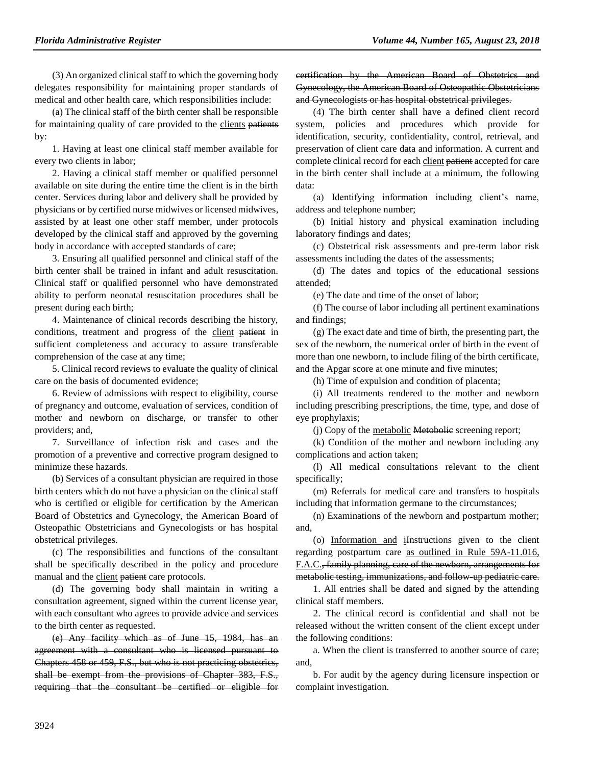(3) An organized clinical staff to which the governing body delegates responsibility for maintaining proper standards of medical and other health care, which responsibilities include:

(a) The clinical staff of the birth center shall be responsible for maintaining quality of care provided to the clients patients by:

1. Having at least one clinical staff member available for every two clients in labor;

2. Having a clinical staff member or qualified personnel available on site during the entire time the client is in the birth center. Services during labor and delivery shall be provided by physicians or by certified nurse midwives or licensed midwives, assisted by at least one other staff member, under protocols developed by the clinical staff and approved by the governing body in accordance with accepted standards of care;

3. Ensuring all qualified personnel and clinical staff of the birth center shall be trained in infant and adult resuscitation. Clinical staff or qualified personnel who have demonstrated ability to perform neonatal resuscitation procedures shall be present during each birth;

4. Maintenance of clinical records describing the history, conditions, treatment and progress of the client patient in sufficient completeness and accuracy to assure transferable comprehension of the case at any time;

5. Clinical record reviews to evaluate the quality of clinical care on the basis of documented evidence;

6. Review of admissions with respect to eligibility, course of pregnancy and outcome, evaluation of services, condition of mother and newborn on discharge, or transfer to other providers; and,

7. Surveillance of infection risk and cases and the promotion of a preventive and corrective program designed to minimize these hazards.

(b) Services of a consultant physician are required in those birth centers which do not have a physician on the clinical staff who is certified or eligible for certification by the American Board of Obstetrics and Gynecology, the American Board of Osteopathic Obstetricians and Gynecologists or has hospital obstetrical privileges.

(c) The responsibilities and functions of the consultant shall be specifically described in the policy and procedure manual and the client patient care protocols.

(d) The governing body shall maintain in writing a consultation agreement, signed within the current license year, with each consultant who agrees to provide advice and services to the birth center as requested.

(e) Any facility which as of June 15, 1984, has an agreement with a consultant who is licensed pursuant to Chapters 458 or 459, F.S., but who is not practicing obstetrics, shall be exempt from the provisions of Chapter 383, F.S., requiring that the consultant be certified or eligible for certification by the American Board of Obstetrics and Gynecology, the American Board of Osteopathic Obstetricians and Gynecologists or has hospital obstetrical privileges.

(4) The birth center shall have a defined client record system, policies and procedures which provide for identification, security, confidentiality, control, retrieval, and preservation of client care data and information. A current and complete clinical record for each client patient accepted for care in the birth center shall include at a minimum, the following data:

(a) Identifying information including client's name, address and telephone number;

(b) Initial history and physical examination including laboratory findings and dates;

(c) Obstetrical risk assessments and pre-term labor risk assessments including the dates of the assessments;

(d) The dates and topics of the educational sessions attended;

(e) The date and time of the onset of labor;

(f) The course of labor including all pertinent examinations and findings;

(g) The exact date and time of birth, the presenting part, the sex of the newborn, the numerical order of birth in the event of more than one newborn, to include filing of the birth certificate, and the Apgar score at one minute and five minutes;

(h) Time of expulsion and condition of placenta;

(i) All treatments rendered to the mother and newborn including prescribing prescriptions, the time, type, and dose of eye prophylaxis;

(j) Copy of the metabolic Metobolic screening report;

(k) Condition of the mother and newborn including any complications and action taken;

(l) All medical consultations relevant to the client specifically;

(m) Referrals for medical care and transfers to hospitals including that information germane to the circumstances;

(n) Examinations of the newborn and postpartum mother; and,

(o) Information and iInstructions given to the client regarding postpartum care as outlined in Rule 59A-11.016, F.A.C., family planning, care of the newborn, arrangements for metabolic testing, immunizations, and follow-up pediatric care.

1. All entries shall be dated and signed by the attending clinical staff members.

2. The clinical record is confidential and shall not be released without the written consent of the client except under the following conditions:

a. When the client is transferred to another source of care; and,

b. For audit by the agency during licensure inspection or complaint investigation.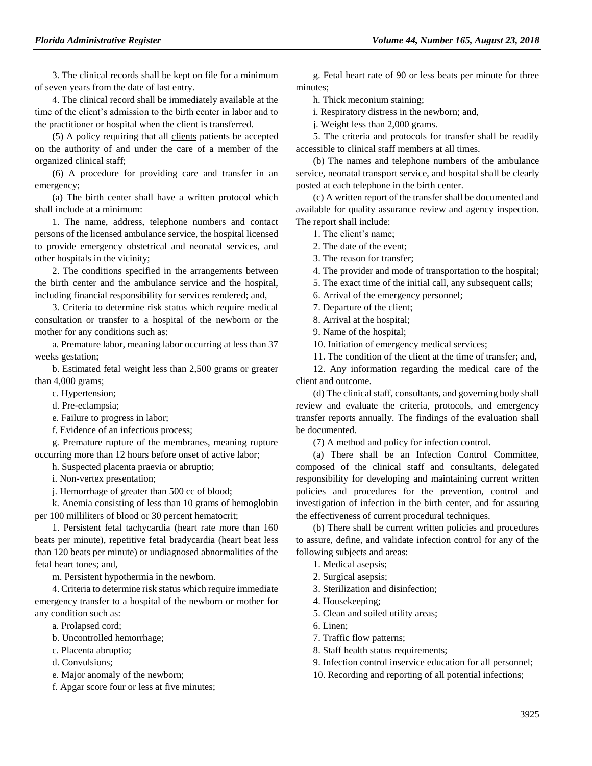3. The clinical records shall be kept on file for a minimum of seven years from the date of last entry.

4. The clinical record shall be immediately available at the time of the client's admission to the birth center in labor and to the practitioner or hospital when the client is transferred.

(5) A policy requiring that all clients patients be accepted on the authority of and under the care of a member of the organized clinical staff;

(6) A procedure for providing care and transfer in an emergency;

(a) The birth center shall have a written protocol which shall include at a minimum:

1. The name, address, telephone numbers and contact persons of the licensed ambulance service, the hospital licensed to provide emergency obstetrical and neonatal services, and other hospitals in the vicinity;

2. The conditions specified in the arrangements between the birth center and the ambulance service and the hospital, including financial responsibility for services rendered; and,

3. Criteria to determine risk status which require medical consultation or transfer to a hospital of the newborn or the mother for any conditions such as:

a. Premature labor, meaning labor occurring at less than 37 weeks gestation;

b. Estimated fetal weight less than 2,500 grams or greater than 4,000 grams;

c. Hypertension;

d. Pre-eclampsia;

e. Failure to progress in labor;

f. Evidence of an infectious process;

g. Premature rupture of the membranes, meaning rupture occurring more than 12 hours before onset of active labor;

h. Suspected placenta praevia or abruptio;

i. Non-vertex presentation;

j. Hemorrhage of greater than 500 cc of blood;

k. Anemia consisting of less than 10 grams of hemoglobin per 100 milliliters of blood or 30 percent hematocrit;

1. Persistent fetal tachycardia (heart rate more than 160 beats per minute), repetitive fetal bradycardia (heart beat less than 120 beats per minute) or undiagnosed abnormalities of the fetal heart tones; and,

m. Persistent hypothermia in the newborn.

4. Criteria to determine risk status which require immediate emergency transfer to a hospital of the newborn or mother for any condition such as:

- a. Prolapsed cord;
- b. Uncontrolled hemorrhage;
- c. Placenta abruptio;

d. Convulsions;

e. Major anomaly of the newborn;

f. Apgar score four or less at five minutes;

g. Fetal heart rate of 90 or less beats per minute for three minutes;

h. Thick meconium staining;

i. Respiratory distress in the newborn; and,

j. Weight less than 2,000 grams.

5. The criteria and protocols for transfer shall be readily accessible to clinical staff members at all times.

(b) The names and telephone numbers of the ambulance service, neonatal transport service, and hospital shall be clearly posted at each telephone in the birth center.

(c) A written report of the transfer shall be documented and available for quality assurance review and agency inspection. The report shall include:

1. The client's name;

2. The date of the event;

3. The reason for transfer;

4. The provider and mode of transportation to the hospital;

5. The exact time of the initial call, any subsequent calls;

6. Arrival of the emergency personnel;

7. Departure of the client;

8. Arrival at the hospital;

9. Name of the hospital;

10. Initiation of emergency medical services;

11. The condition of the client at the time of transfer; and,

12. Any information regarding the medical care of the client and outcome.

(d) The clinical staff, consultants, and governing body shall review and evaluate the criteria, protocols, and emergency transfer reports annually. The findings of the evaluation shall be documented.

(7) A method and policy for infection control.

(a) There shall be an Infection Control Committee, composed of the clinical staff and consultants, delegated responsibility for developing and maintaining current written policies and procedures for the prevention, control and investigation of infection in the birth center, and for assuring the effectiveness of current procedural techniques.

(b) There shall be current written policies and procedures to assure, define, and validate infection control for any of the following subjects and areas:

- 1. Medical asepsis;
- 2. Surgical asepsis;

3. Sterilization and disinfection;

4. Housekeeping;

5. Clean and soiled utility areas;

6. Linen;

7. Traffic flow patterns;

8. Staff health status requirements;

9. Infection control inservice education for all personnel;

10. Recording and reporting of all potential infections;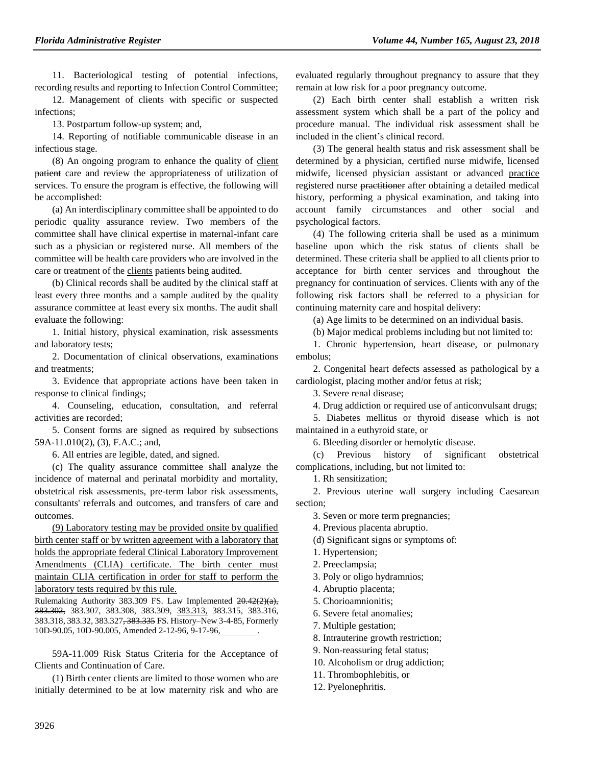11. Bacteriological testing of potential infections, recording results and reporting to Infection Control Committee;

12. Management of clients with specific or suspected infections;

13. Postpartum follow-up system; and,

14. Reporting of notifiable communicable disease in an infectious stage.

(8) An ongoing program to enhance the quality of client patient care and review the appropriateness of utilization of services. To ensure the program is effective, the following will be accomplished:

(a) An interdisciplinary committee shall be appointed to do periodic quality assurance review. Two members of the committee shall have clinical expertise in maternal-infant care such as a physician or registered nurse. All members of the committee will be health care providers who are involved in the care or treatment of the clients patients being audited.

(b) Clinical records shall be audited by the clinical staff at least every three months and a sample audited by the quality assurance committee at least every six months. The audit shall evaluate the following:

1. Initial history, physical examination, risk assessments and laboratory tests;

2. Documentation of clinical observations, examinations and treatments;

3. Evidence that appropriate actions have been taken in response to clinical findings;

4. Counseling, education, consultation, and referral activities are recorded;

5. Consent forms are signed as required by subsections 59A-11.010(2), (3), F.A.C.; and,

6. All entries are legible, dated, and signed.

(c) The quality assurance committee shall analyze the incidence of maternal and perinatal morbidity and mortality, obstetrical risk assessments, pre-term labor risk assessments, consultants' referrals and outcomes, and transfers of care and outcomes.

(9) Laboratory testing may be provided onsite by qualified birth center staff or by written agreement with a laboratory that holds the appropriate federal Clinical Laboratory Improvement Amendments (CLIA) certificate. The birth center must maintain CLIA certification in order for staff to perform the laboratory tests required by this rule.

Rulemaking Authority 383.309 FS. Law Implemented 20.42(2)(a), 383.302, 383.307, 383.308, 383.309, 383.313, 383.315, 383.316, 383.318, 383.32, 383.327, 383.335 FS. History–New 3-4-85, Formerly 10D-90.05, 10D-90.005, Amended 2-12-96, 9-17-96,

59A-11.009 Risk Status Criteria for the Acceptance of Clients and Continuation of Care.

(1) Birth center clients are limited to those women who are initially determined to be at low maternity risk and who are evaluated regularly throughout pregnancy to assure that they remain at low risk for a poor pregnancy outcome.

(2) Each birth center shall establish a written risk assessment system which shall be a part of the policy and procedure manual. The individual risk assessment shall be included in the client's clinical record.

(3) The general health status and risk assessment shall be determined by a physician, certified nurse midwife, licensed midwife, licensed physician assistant or advanced practice registered nurse practitioner after obtaining a detailed medical history, performing a physical examination, and taking into account family circumstances and other social and psychological factors.

(4) The following criteria shall be used as a minimum baseline upon which the risk status of clients shall be determined. These criteria shall be applied to all clients prior to acceptance for birth center services and throughout the pregnancy for continuation of services. Clients with any of the following risk factors shall be referred to a physician for continuing maternity care and hospital delivery:

(a) Age limits to be determined on an individual basis.

(b) Major medical problems including but not limited to:

1. Chronic hypertension, heart disease, or pulmonary embolus;

2. Congenital heart defects assessed as pathological by a cardiologist, placing mother and/or fetus at risk;

3. Severe renal disease;

4. Drug addiction or required use of anticonvulsant drugs;

5. Diabetes mellitus or thyroid disease which is not maintained in a euthyroid state, or

6. Bleeding disorder or hemolytic disease.

(c) Previous history of significant obstetrical complications, including, but not limited to:

1. Rh sensitization;

2. Previous uterine wall surgery including Caesarean section;

- 3. Seven or more term pregnancies;
- 4. Previous placenta abruptio.
- (d) Significant signs or symptoms of:
- 1. Hypertension;
- 2. Preeclampsia;
- 3. Poly or oligo hydramnios;
- 4. Abruptio placenta;
- 5. Chorioamnionitis;
- 6. Severe fetal anomalies;
- 7. Multiple gestation;
- 8. Intrauterine growth restriction;
- 9. Non-reassuring fetal status;
- 10. Alcoholism or drug addiction;
- 11. Thrombophlebitis, or
- 12. Pyelonephritis.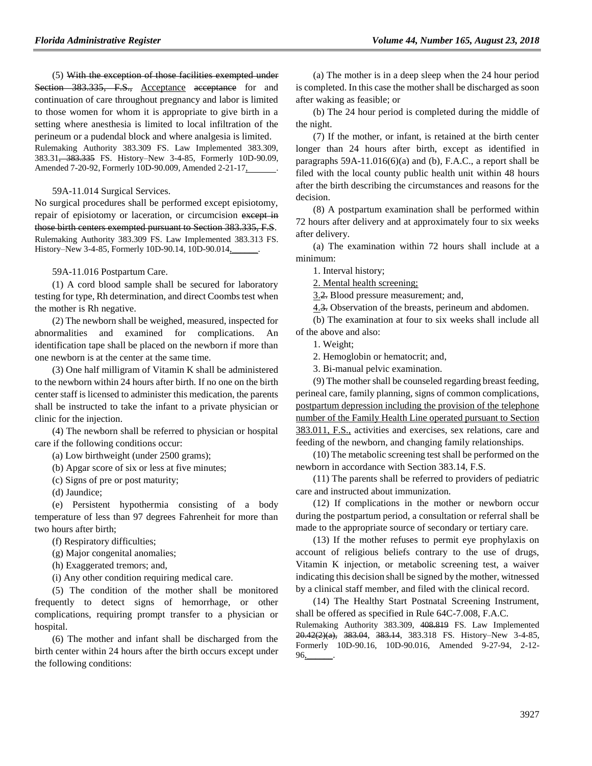(5) With the exception of those facilities exempted under Section 383.335, F.S., Acceptance acceptance for and continuation of care throughout pregnancy and labor is limited to those women for whom it is appropriate to give birth in a setting where anesthesia is limited to local infiltration of the perineum or a pudendal block and where analgesia is limited. Rulemaking Authority 383.309 FS. Law Implemented 383.309, 383.31, 383.335 FS. History–New 3-4-85, Formerly 10D-90.09, Amended 7-20-92, Formerly 10D-90.009, Amended 2-21-17, .

59A-11.014 Surgical Services.

No surgical procedures shall be performed except episiotomy, repair of episiotomy or laceration, or circumcision except in those birth centers exempted pursuant to Section 383.335, F.S. Rulemaking Authority 383.309 FS. Law Implemented 383.313 FS. History–New 3-4-85, Formerly 10D-90.14, 10D-90.014.

59A-11.016 Postpartum Care.

(1) A cord blood sample shall be secured for laboratory testing for type, Rh determination, and direct Coombs test when the mother is Rh negative.

(2) The newborn shall be weighed, measured, inspected for abnormalities and examined for complications. An identification tape shall be placed on the newborn if more than one newborn is at the center at the same time.

(3) One half milligram of Vitamin K shall be administered to the newborn within 24 hours after birth. If no one on the birth center staff is licensed to administer this medication, the parents shall be instructed to take the infant to a private physician or clinic for the injection.

(4) The newborn shall be referred to physician or hospital care if the following conditions occur:

(a) Low birthweight (under 2500 grams);

(b) Apgar score of six or less at five minutes;

(c) Signs of pre or post maturity;

(d) Jaundice;

(e) Persistent hypothermia consisting of a body temperature of less than 97 degrees Fahrenheit for more than two hours after birth;

(f) Respiratory difficulties;

(g) Major congenital anomalies;

(h) Exaggerated tremors; and,

(i) Any other condition requiring medical care.

(5) The condition of the mother shall be monitored frequently to detect signs of hemorrhage, or other complications, requiring prompt transfer to a physician or hospital.

(6) The mother and infant shall be discharged from the birth center within 24 hours after the birth occurs except under the following conditions:

(a) The mother is in a deep sleep when the 24 hour period is completed. In this case the mother shall be discharged as soon after waking as feasible; or

(b) The 24 hour period is completed during the middle of the night.

(7) If the mother, or infant, is retained at the birth center longer than 24 hours after birth, except as identified in paragraphs  $59A-11.016(6)(a)$  and (b), F.A.C., a report shall be filed with the local county public health unit within 48 hours after the birth describing the circumstances and reasons for the decision.

(8) A postpartum examination shall be performed within 72 hours after delivery and at approximately four to six weeks after delivery.

(a) The examination within 72 hours shall include at a minimum:

1. Interval history;

2. Mental health screening;

3.2. Blood pressure measurement; and,

4.3. Observation of the breasts, perineum and abdomen.

(b) The examination at four to six weeks shall include all of the above and also:

1. Weight;

2. Hemoglobin or hematocrit; and,

3. Bi-manual pelvic examination.

(9) The mother shall be counseled regarding breast feeding, perineal care, family planning, signs of common complications, postpartum depression including the provision of the telephone number of the Family Health Line operated pursuant to Section 383.011, F.S., activities and exercises, sex relations, care and feeding of the newborn, and changing family relationships.

(10) The metabolic screening test shall be performed on the newborn in accordance with Section 383.14, F.S.

(11) The parents shall be referred to providers of pediatric care and instructed about immunization.

(12) If complications in the mother or newborn occur during the postpartum period, a consultation or referral shall be made to the appropriate source of secondary or tertiary care.

(13) If the mother refuses to permit eye prophylaxis on account of religious beliefs contrary to the use of drugs, Vitamin K injection, or metabolic screening test, a waiver indicating this decision shall be signed by the mother, witnessed by a clinical staff member, and filed with the clinical record.

(14) The Healthy Start Postnatal Screening Instrument, shall be offered as specified in Rule 64C-7.008, F.A.C.

Rulemaking Authority 383.309, 408.819 FS. Law Implemented  $20.42(2)(a)$ ,  $383.04$ ,  $383.14$ ,  $383.318$  FS. History–New 3-4-85, Formerly 10D-90.16, 10D-90.016, Amended 9-27-94, 2-12- 96,\_\_\_\_\_\_.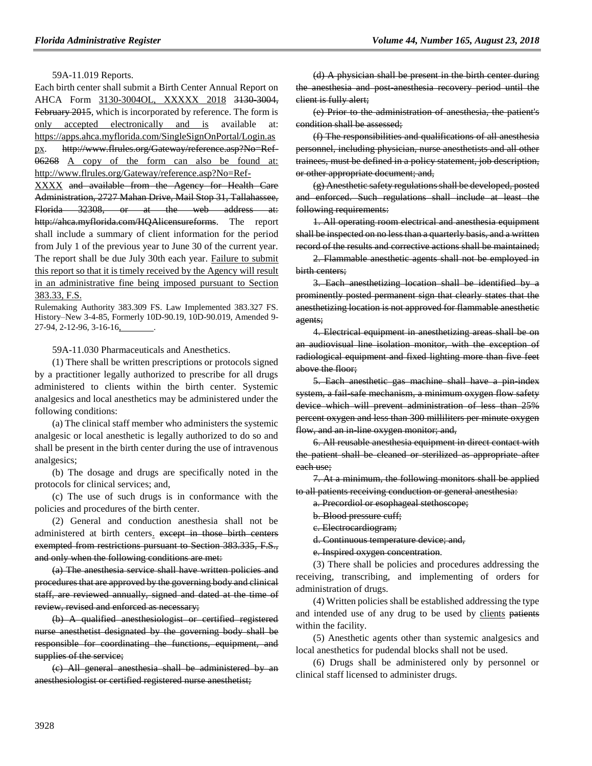59A-11.019 Reports.

Each birth center shall submit a Birth Center Annual Report on AHCA Form 3130-3004OL, XXXXX 2018 3130-3004, February 2015, which is incorporated by reference. The form is only accepted electronically and is available at: [https://apps.ahca.myflorida.com/SingleSignOnPortal/Login.as](https://apps.ahca.myflorida.com/SingleSignOnPortal/Login.aspx) [px.](https://apps.ahca.myflorida.com/SingleSignOnPortal/Login.aspx) http://www.flrules.org/Gateway/reference.asp?No=Ref-06268 A copy of the form can also be found at: [http://www.flrules.org/Gateway/reference.asp?No=Ref-](http://www.flrules.org/Gateway/reference.asp?No=Ref-XXXX)[XXXX](http://www.flrules.org/Gateway/reference.asp?No=Ref-XXXX) and available from the Agency for Health Care Administration, 2727 Mahan Drive, Mail Stop 31, Tallahassee, Florida 32308, or at the web address at: http://ahca.myflorida.com/HQAlicensureforms. The report shall include a summary of client information for the period from July 1 of the previous year to June 30 of the current year. The report shall be due July 30th each year. Failure to submit this report so that it is timely received by the Agency will result in an administrative fine being imposed pursuant to Section 383.33, F.S.

Rulemaking Authority 383.309 FS. Law Implemented 383.327 FS. History–New 3-4-85, Formerly 10D-90.19, 10D-90.019, Amended 9- 27-94, 2-12-96, 3-16-16, .

59A-11.030 Pharmaceuticals and Anesthetics.

(1) There shall be written prescriptions or protocols signed by a practitioner legally authorized to prescribe for all drugs administered to clients within the birth center. Systemic analgesics and local anesthetics may be administered under the following conditions:

(a) The clinical staff member who administers the systemic analgesic or local anesthetic is legally authorized to do so and shall be present in the birth center during the use of intravenous analgesics;

(b) The dosage and drugs are specifically noted in the protocols for clinical services; and,

(c) The use of such drugs is in conformance with the policies and procedures of the birth center.

(2) General and conduction anesthesia shall not be administered at birth centers. except in those birth centers exempted from restrictions pursuant to Section 383.335, F.S., and only when the following conditions are met:

(a) The anesthesia service shall have written policies and procedures that are approved by the governing body and clinical staff, are reviewed annually, signed and dated at the time of review, revised and enforced as necessary;

(b) A qualified anesthesiologist or certified registered nurse anesthetist designated by the governing body shall be responsible for coordinating the functions, equipment, and supplies of the service;

(c) All general anesthesia shall be administered by an anesthesiologist or certified registered nurse anesthetist;

(d) A physician shall be present in the birth center during the anesthesia and post-anesthesia recovery period until the client is fully alert;

(e) Prior to the administration of anesthesia, the patient's condition shall be assessed;

(f) The responsibilities and qualifications of all anesthesia personnel, including physician, nurse anesthetists and all other trainees, must be defined in a policy statement, job description, or other appropriate document; and,

(g) Anesthetic safety regulations shall be developed, posted and enforced. Such regulations shall include at least the following requirements:

1. All operating room electrical and anesthesia equipment shall be inspected on no less than a quarterly basis, and a written record of the results and corrective actions shall be maintained;

2. Flammable anesthetic agents shall not be employed in birth centers;

3. Each anesthetizing location shall be identified by a prominently posted permanent sign that clearly states that the anesthetizing location is not approved for flammable anesthetic agents;

4. Electrical equipment in anesthetizing areas shall be on an audiovisual line isolation monitor, with the exception of radiological equipment and fixed lighting more than five feet above the floor;

5. Each anesthetic gas machine shall have a pin-index system, a fail-safe mechanism, a minimum oxygen flow safety device which will prevent administration of less than 25% percent oxygen and less than 300 milliliters per minute oxygen flow, and an in-line oxygen monitor; and,

6. All reusable anesthesia equipment in direct contact with the patient shall be cleaned or sterilized as appropriate after each use;

7. At a minimum, the following monitors shall be applied to all patients receiving conduction or general anesthesia:

a. Precordiol or esophageal stethoscope;

b. Blood pressure cuff;

c. Electrocardiogram;

d. Continuous temperature device; and,

e. Inspired oxygen concentration.

(3) There shall be policies and procedures addressing the receiving, transcribing, and implementing of orders for administration of drugs.

(4) Written policies shall be established addressing the type and intended use of any drug to be used by clients patients within the facility.

(5) Anesthetic agents other than systemic analgesics and local anesthetics for pudendal blocks shall not be used.

(6) Drugs shall be administered only by personnel or clinical staff licensed to administer drugs.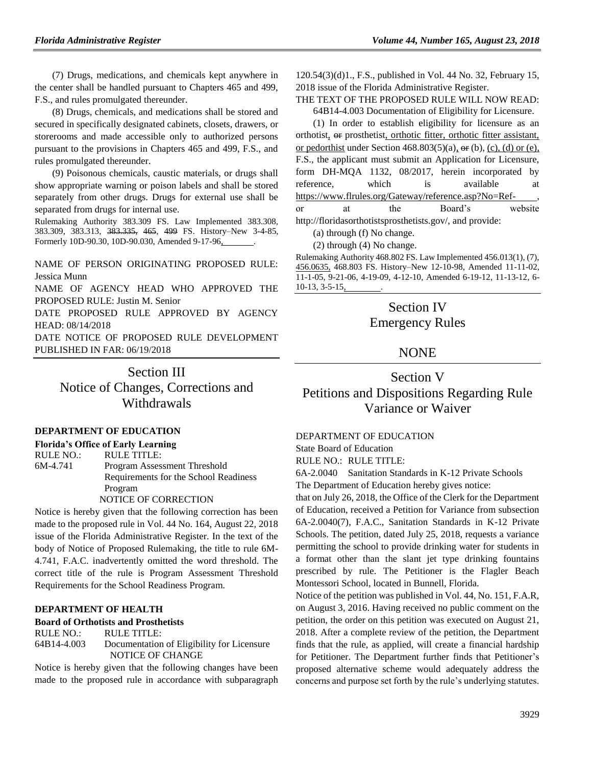(7) Drugs, medications, and chemicals kept anywhere in the center shall be handled pursuant to Chapters 465 and 499, F.S., and rules promulgated thereunder.

(8) Drugs, chemicals, and medications shall be stored and secured in specifically designated cabinets, closets, drawers, or storerooms and made accessible only to authorized persons pursuant to the provisions in Chapters 465 and 499, F.S., and rules promulgated thereunder.

(9) Poisonous chemicals, caustic materials, or drugs shall show appropriate warning or poison labels and shall be stored separately from other drugs. Drugs for external use shall be separated from drugs for internal use.

Rulemaking Authority 383.309 FS. Law Implemented 383.308, 383.309, 383.313, 383.335, 465, 499 FS. History–New 3-4-85, Formerly 10D-90.30, 10D-90.030, Amended 9-17-96, .

NAME OF PERSON ORIGINATING PROPOSED RULE: Jessica Munn

NAME OF AGENCY HEAD WHO APPROVED THE PROPOSED RULE: Justin M. Senior

DATE PROPOSED RULE APPROVED BY AGENCY HEAD: 08/14/2018

DATE NOTICE OF PROPOSED RULE DEVELOPMENT PUBLISHED IN FAR: 06/19/2018

> Section III Notice of Changes, Corrections and Withdrawals

#### **[DEPARTMENT OF EDUCATION](https://www.flrules.org/gateway/department.asp?id=6)**

**[Florida's Office of Early Learning](https://www.flrules.org/gateway/organization.asp?id=1044)** RULE NO.: RULE TITLE: [6M-4.741](https://www.flrules.org/gateway/ruleNo.asp?id=6M-4.741) Program Assessment Threshold Requirements for the School Readiness Program NOTICE OF CORRECTION

Notice is hereby given that the following correction has been made to the proposed rule in Vol. 44 No. 164, August 22, 2018 issue of the Florida Administrative Register. In the text of the body of Notice of Proposed Rulemaking, the title to rule 6M-4.741, F.A.C. inadvertently omitted the word threshold. The correct title of the rule is Program Assessment Threshold Requirements for the School Readiness Program.

### **[DEPARTMENT OF HEALTH](https://www.flrules.org/gateway/department.asp?id=64)**

#### **[Board of Orthotists and Prosthetists](https://www.flrules.org/gateway/organization.asp?id=305)**

RULE NO.: RULE TITLE:

[64B14-4.003](https://www.flrules.org/gateway/ruleNo.asp?id=64B14-4.003) Documentation of Eligibility for Licensure NOTICE OF CHANGE

Notice is hereby given that the following changes have been made to the proposed rule in accordance with subparagraph 120.54(3)(d)1., F.S., published in Vol. 44 No. 32, February 15, 2018 issue of the Florida Administrative Register.

THE TEXT OF THE PROPOSED RULE WILL NOW READ: 64B14-4.003 Documentation of Eligibility for Licensure.

(1) In order to establish eligibility for licensure as an orthotist, or prosthetist, orthotic fitter, orthotic fitter assistant, or pedorthist under Section  $468.803(5)(a)$ , or (b), (c), (d) or (e), F.S., the applicant must submit an Application for Licensure, form DH-MQA 1132, 08/2017, herein incorporated by reference, which is available at https://www.flrules.org/Gateway/reference.asp?No=Refor at the Board's website http://floridasorthotistsprosthetists.gov/, and provide: (a) through (f) No change.

(2) through (4) No change.

Rulemaking Authority 468.802 FS. Law Implemented 456.013(1), (7), 456.0635, 468.803 FS. History–New 12-10-98, Amended 11-11-02, 11-1-05, 9-21-06, 4-19-09, 4-12-10, Amended 6-19-12, 11-13-12, 6-  $10-13, 3-5-15,$ 

# Section IV Emergency Rules

# NONE

# Section V Petitions and Dispositions Regarding Rule Variance or Waiver

[DEPARTMENT OF EDUCATION](https://www.flrules.org/gateway/department.asp?id=6)

[State Board of Education](https://www.flrules.org/gateway/organization.asp?id=195)

RULE NO.: RULE TITLE:

[6A-2.0040](https://www.flrules.org/gateway/ruleNo.asp?id=6A-2.0040) Sanitation Standards in K-12 Private Schools

The Department of Education hereby gives notice:

that on July 26, 2018, the Office of the Clerk for the Department of Education, received a Petition for Variance from subsection 6A-2.0040(7), F.A.C., Sanitation Standards in K-12 Private Schools. The petition, dated July 25, 2018, requests a variance permitting the school to provide drinking water for students in a format other than the slant jet type drinking fountains prescribed by rule. The Petitioner is the Flagler Beach Montessori School, located in Bunnell, Florida.

Notice of the petition was published in Vol. 44, No. 151, F.A.R, on August 3, 2016. Having received no public comment on the petition, the order on this petition was executed on August 21, 2018. After a complete review of the petition, the Department finds that the rule, as applied, will create a financial hardship for Petitioner. The Department further finds that Petitioner's proposed alternative scheme would adequately address the concerns and purpose set forth by the rule's underlying statutes.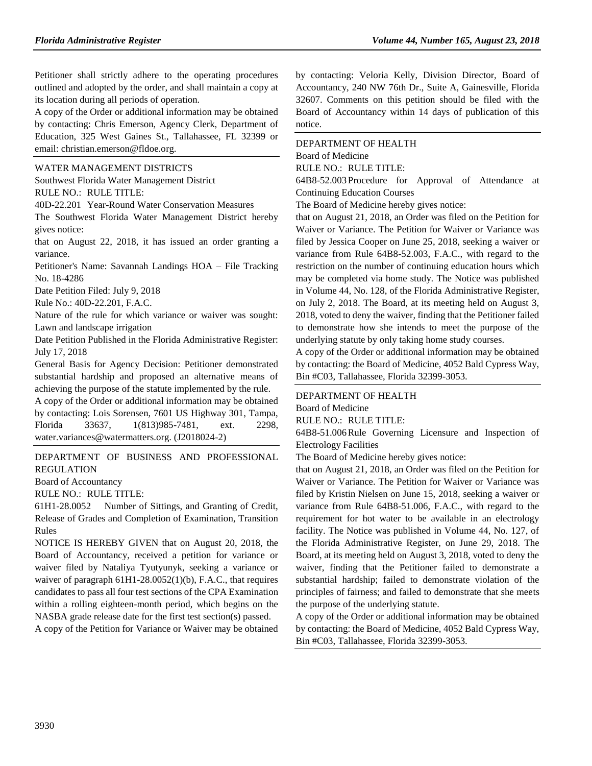Petitioner shall strictly adhere to the operating procedures outlined and adopted by the order, and shall maintain a copy at its location during all periods of operation.

A copy of the Order or additional information may be obtained by contacting: Chris Emerson, Agency Clerk, Department of Education, 325 West Gaines St., Tallahassee, FL 32399 or email: christian.emerson@fldoe.org.

### [WATER MANAGEMENT DISTRICTS](https://www.flrules.org/gateway/department.asp?id=40)

[Southwest Florida Water Management District](https://www.flrules.org/gateway/organization.asp?id=123)

RULE NO.: RULE TITLE:

[40D-22.201](https://www.flrules.org/gateway/ruleNo.asp?id=40D-22.201) Year-Round Water Conservation Measures

The Southwest Florida Water Management District hereby gives notice:

that on August 22, 2018, it has issued an order granting a variance.

Petitioner's Name: Savannah Landings HOA – File Tracking No. 18-4286

Date Petition Filed: July 9, 2018

Rule No.: 40D-22.201, F.A.C.

Nature of the rule for which variance or waiver was sought: Lawn and landscape irrigation

Date Petition Published in the Florida Administrative Register: July 17, 2018

General Basis for Agency Decision: Petitioner demonstrated substantial hardship and proposed an alternative means of achieving the purpose of the statute implemented by the rule.

A copy of the Order or additional information may be obtained by contacting: Lois Sorensen, 7601 US Highway 301, Tampa, Florida 33637, 1(813)985-7481, ext. 2298, water.variances@watermatters.org. (J2018024-2)

[DEPARTMENT OF BUSINESS AND PROFESSIONAL](https://www.flrules.org/gateway/department.asp?id=61)  [REGULATION](https://www.flrules.org/gateway/department.asp?id=61)

[Board of Accountancy](https://www.flrules.org/gateway/organization.asp?id=280)

RULE NO.: RULE TITLE:

[61H1-28.0052](https://www.flrules.org/gateway/ruleNo.asp?id=61H1-28.0052) Number of Sittings, and Granting of Credit, Release of Grades and Completion of Examination, Transition Rules

NOTICE IS HEREBY GIVEN that on August 20, 2018, the Board of Accountancy, received a petition for variance or waiver filed by Nataliya Tyutyunyk, seeking a variance or waiver of paragraph 61H1-28.0052(1)(b), F.A.C., that requires candidates to pass all four test sections of the CPA Examination within a rolling eighteen-month period, which begins on the NASBA grade release date for the first test section(s) passed.

A copy of the Petition for Variance or Waiver may be obtained

by contacting: Veloria Kelly, Division Director, Board of Accountancy, 240 NW 76th Dr., Suite A, Gainesville, Florida 32607. Comments on this petition should be filed with the Board of Accountancy within 14 days of publication of this notice.

# [DEPARTMENT OF HEALTH](https://www.flrules.org/gateway/department.asp?id=64)

[Board of Medicine](https://www.flrules.org/gateway/organization.asp?id=331) RULE NO.: RULE TITLE:

[64B8-52.003](https://www.flrules.org/gateway/ruleNo.asp?id=64B8-52.003) Procedure for Approval of Attendance at Continuing Education Courses

The Board of Medicine hereby gives notice:

that on August 21, 2018, an Order was filed on the Petition for Waiver or Variance. The Petition for Waiver or Variance was filed by Jessica Cooper on June 25, 2018, seeking a waiver or variance from Rule 64B8-52.003, F.A.C., with regard to the restriction on the number of continuing education hours which may be completed via home study. The Notice was published in Volume 44, No. 128, of the Florida Administrative Register, on July 2, 2018. The Board, at its meeting held on August 3, 2018, voted to deny the waiver, finding that the Petitioner failed to demonstrate how she intends to meet the purpose of the underlying statute by only taking home study courses.

A copy of the Order or additional information may be obtained by contacting: the Board of Medicine, 4052 Bald Cypress Way, Bin #C03, Tallahassee, Florida 32399-3053.

#### [DEPARTMENT OF HEALTH](https://www.flrules.org/gateway/department.asp?id=64)

[Board of Medicine](https://www.flrules.org/gateway/organization.asp?id=331)

RULE NO.: RULE TITLE:

[64B8-51.006R](https://www.flrules.org/gateway/ruleNo.asp?id=64B8-51.006)ule Governing Licensure and Inspection of Electrology Facilities

The Board of Medicine hereby gives notice:

that on August 21, 2018, an Order was filed on the Petition for Waiver or Variance. The Petition for Waiver or Variance was filed by Kristin Nielsen on June 15, 2018, seeking a waiver or variance from Rule 64B8-51.006, F.A.C., with regard to the requirement for hot water to be available in an electrology facility. The Notice was published in Volume 44, No. 127, of the Florida Administrative Register, on June 29, 2018. The Board, at its meeting held on August 3, 2018, voted to deny the waiver, finding that the Petitioner failed to demonstrate a substantial hardship; failed to demonstrate violation of the principles of fairness; and failed to demonstrate that she meets the purpose of the underlying statute.

A copy of the Order or additional information may be obtained by contacting: the Board of Medicine, 4052 Bald Cypress Way, Bin #C03, Tallahassee, Florida 32399-3053.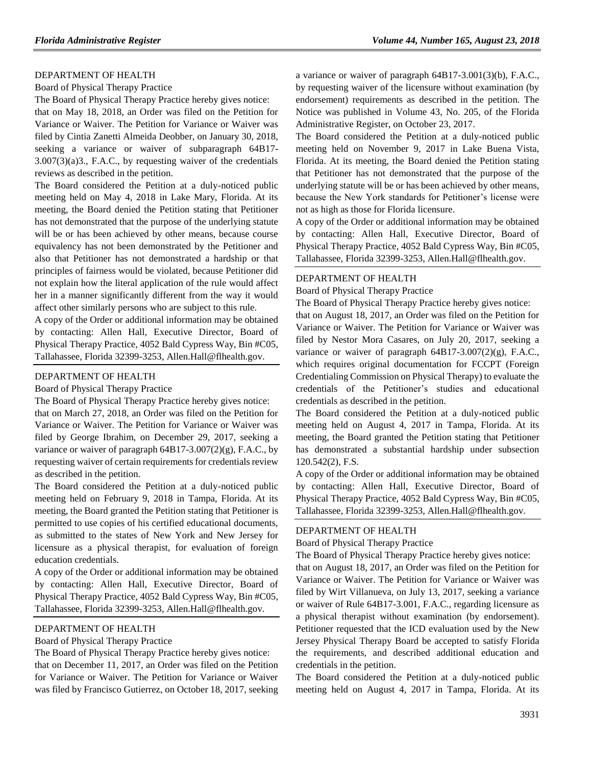#### [DEPARTMENT OF HEALTH](https://www.flrules.org/gateway/department.asp?id=64)

#### [Board of Physical Therapy Practice](https://www.flrules.org/gateway/organization.asp?id=308)

The Board of Physical Therapy Practice hereby gives notice:

that on May 18, 2018, an Order was filed on the Petition for Variance or Waiver. The Petition for Variance or Waiver was filed by Cintia Zanetti Almeida Deobber, on January 30, 2018, seeking a variance or waiver of subparagraph 64B17- 3.007(3)(a)3., F.A.C., by requesting waiver of the credentials reviews as described in the petition.

The Board considered the Petition at a duly-noticed public meeting held on May 4, 2018 in Lake Mary, Florida. At its meeting, the Board denied the Petition stating that Petitioner has not demonstrated that the purpose of the underlying statute will be or has been achieved by other means, because course equivalency has not been demonstrated by the Petitioner and also that Petitioner has not demonstrated a hardship or that principles of fairness would be violated, because Petitioner did not explain how the literal application of the rule would affect her in a manner significantly different from the way it would affect other similarly persons who are subject to this rule.

A copy of the Order or additional information may be obtained by contacting: Allen Hall, Executive Director, Board of Physical Therapy Practice, 4052 Bald Cypress Way, Bin #C05, Tallahassee, Florida 32399-3253, Allen.Hall@flhealth.gov.

# [DEPARTMENT OF HEALTH](https://www.flrules.org/gateway/department.asp?id=64)

[Board of Physical Therapy Practice](https://www.flrules.org/gateway/organization.asp?id=308)

The Board of Physical Therapy Practice hereby gives notice:

that on March 27, 2018, an Order was filed on the Petition for Variance or Waiver. The Petition for Variance or Waiver was filed by George Ibrahim, on December 29, 2017, seeking a variance or waiver of paragraph 64B17-3.007(2)(g), F.A.C., by requesting waiver of certain requirements for credentials review as described in the petition.

The Board considered the Petition at a duly-noticed public meeting held on February 9, 2018 in Tampa, Florida. At its meeting, the Board granted the Petition stating that Petitioner is permitted to use copies of his certified educational documents, as submitted to the states of New York and New Jersey for licensure as a physical therapist, for evaluation of foreign education credentials.

A copy of the Order or additional information may be obtained by contacting: Allen Hall, Executive Director, Board of Physical Therapy Practice, 4052 Bald Cypress Way, Bin #C05, Tallahassee, Florida 32399-3253, Allen.Hall@flhealth.gov.

### [DEPARTMENT OF HEALTH](https://www.flrules.org/gateway/department.asp?id=64)

#### [Board of Physical Therapy Practice](https://www.flrules.org/gateway/organization.asp?id=308)

The Board of Physical Therapy Practice hereby gives notice: that on December 11, 2017, an Order was filed on the Petition for Variance or Waiver. The Petition for Variance or Waiver was filed by Francisco Gutierrez, on October 18, 2017, seeking a variance or waiver of paragraph 64B17-3.001(3)(b), F.A.C., by requesting waiver of the licensure without examination (by endorsement) requirements as described in the petition. The Notice was published in Volume 43, No. 205, of the Florida Administrative Register, on October 23, 2017.

The Board considered the Petition at a duly-noticed public meeting held on November 9, 2017 in Lake Buena Vista, Florida. At its meeting, the Board denied the Petition stating that Petitioner has not demonstrated that the purpose of the underlying statute will be or has been achieved by other means, because the New York standards for Petitioner's license were not as high as those for Florida licensure.

A copy of the Order or additional information may be obtained by contacting: Allen Hall, Executive Director, Board of Physical Therapy Practice, 4052 Bald Cypress Way, Bin #C05, Tallahassee, Florida 32399-3253, Allen.Hall@flhealth.gov.

#### [DEPARTMENT OF HEALTH](https://www.flrules.org/gateway/department.asp?id=64)

[Board of Physical Therapy Practice](https://www.flrules.org/gateway/organization.asp?id=308)

The Board of Physical Therapy Practice hereby gives notice:

that on August 18, 2017, an Order was filed on the Petition for Variance or Waiver. The Petition for Variance or Waiver was filed by Nestor Mora Casares, on July 20, 2017, seeking a variance or waiver of paragraph 64B17-3.007(2)(g), F.A.C., which requires original documentation for FCCPT (Foreign Credentialing Commission on Physical Therapy) to evaluate the credentials of the Petitioner's studies and educational credentials as described in the petition.

The Board considered the Petition at a duly-noticed public meeting held on August 4, 2017 in Tampa, Florida. At its meeting, the Board granted the Petition stating that Petitioner has demonstrated a substantial hardship under subsection 120.542(2), F.S.

A copy of the Order or additional information may be obtained by contacting: Allen Hall, Executive Director, Board of Physical Therapy Practice, 4052 Bald Cypress Way, Bin #C05, Tallahassee, Florida 32399-3253, Allen.Hall@flhealth.gov.

#### [DEPARTMENT OF HEALTH](https://www.flrules.org/gateway/department.asp?id=64)

[Board of Physical Therapy Practice](https://www.flrules.org/gateway/organization.asp?id=308)

The Board of Physical Therapy Practice hereby gives notice: that on August 18, 2017, an Order was filed on the Petition for Variance or Waiver. The Petition for Variance or Waiver was filed by Wirt Villanueva, on July 13, 2017, seeking a variance or waiver of Rule 64B17-3.001, F.A.C., regarding licensure as a physical therapist without examination (by endorsement). Petitioner requested that the ICD evaluation used by the New Jersey Physical Therapy Board be accepted to satisfy Florida the requirements, and described additional education and credentials in the petition.

The Board considered the Petition at a duly-noticed public meeting held on August 4, 2017 in Tampa, Florida. At its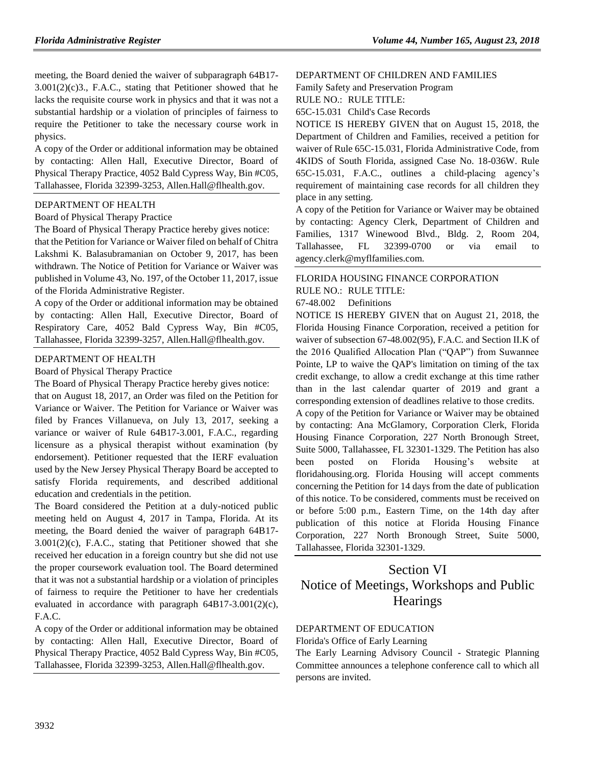meeting, the Board denied the waiver of subparagraph 64B17- 3.001(2)(c)3., F.A.C., stating that Petitioner showed that he lacks the requisite course work in physics and that it was not a substantial hardship or a violation of principles of fairness to require the Petitioner to take the necessary course work in physics.

A copy of the Order or additional information may be obtained by contacting: Allen Hall, Executive Director, Board of Physical Therapy Practice, 4052 Bald Cypress Way, Bin #C05, Tallahassee, Florida 32399-3253, Allen.Hall@flhealth.gov.

## [DEPARTMENT OF HEALTH](https://www.flrules.org/gateway/department.asp?id=64)

# [Board of Physical Therapy Practice](https://www.flrules.org/gateway/organization.asp?id=308)

The Board of Physical Therapy Practice hereby gives notice:

that the Petition for Variance or Waiver filed on behalf of Chitra Lakshmi K. Balasubramanian on October 9, 2017, has been withdrawn. The Notice of Petition for Variance or Waiver was published in Volume 43, No. 197, of the October 11, 2017, issue of the Florida Administrative Register.

A copy of the Order or additional information may be obtained by contacting: Allen Hall, Executive Director, Board of Respiratory Care, 4052 Bald Cypress Way, Bin #C05, Tallahassee, Florida 32399-3257, Allen.Hall@flhealth.gov.

## [DEPARTMENT OF HEALTH](https://www.flrules.org/gateway/department.asp?id=64)

[Board of Physical Therapy Practice](https://www.flrules.org/gateway/organization.asp?id=308)

The Board of Physical Therapy Practice hereby gives notice:

that on August 18, 2017, an Order was filed on the Petition for Variance or Waiver. The Petition for Variance or Waiver was filed by Frances Villanueva, on July 13, 2017, seeking a variance or waiver of Rule 64B17-3.001, F.A.C., regarding licensure as a physical therapist without examination (by endorsement). Petitioner requested that the IERF evaluation used by the New Jersey Physical Therapy Board be accepted to satisfy Florida requirements, and described additional education and credentials in the petition.

The Board considered the Petition at a duly-noticed public meeting held on August 4, 2017 in Tampa, Florida. At its meeting, the Board denied the waiver of paragraph 64B17- 3.001(2)(c), F.A.C., stating that Petitioner showed that she received her education in a foreign country but she did not use the proper coursework evaluation tool. The Board determined that it was not a substantial hardship or a violation of principles of fairness to require the Petitioner to have her credentials evaluated in accordance with paragraph 64B17-3.001(2)(c), F.A.C.

A copy of the Order or additional information may be obtained by contacting: Allen Hall, Executive Director, Board of Physical Therapy Practice, 4052 Bald Cypress Way, Bin #C05, Tallahassee, Florida 32399-3253, Allen.Hall@flhealth.gov.

# [DEPARTMENT OF CHILDREN AND FAMILIES](https://www.flrules.org/gateway/department.asp?id=65)

[Family Safety and Preservation Program](https://www.flrules.org/gateway/organization.asp?id=342)

RULE NO.: RULE TITLE:

[65C-15.031](https://www.flrules.org/gateway/ruleNo.asp?id=65C-15.031) Child's Case Records

NOTICE IS HEREBY GIVEN that on August 15, 2018, the Department of Children and Families, received a petition for waiver of Rule 65C-15.031, Florida Administrative Code, from 4KIDS of South Florida, assigned Case No. 18-036W. Rule 65C-15.031, F.A.C., outlines a child-placing agency's requirement of maintaining case records for all children they place in any setting.

A copy of the Petition for Variance or Waiver may be obtained by contacting: Agency Clerk, Department of Children and Families, 1317 Winewood Blvd., Bldg. 2, Room 204, Tallahassee, FL 32399-0700 or via email to agency.clerk@myflfamilies.com.

# [FLORIDA HOUSING FINANCE CORPORATION](https://www.flrules.org/gateway/department.asp?id=67)

RULE NO.: RULE TITLE:

[67-48.002](https://www.flrules.org/gateway/ruleNo.asp?id=67-48.002) Definitions

NOTICE IS HEREBY GIVEN that on August 21, 2018, the Florida Housing Finance Corporation, received a petition for waiver of subsection 67-48.002(95), F.A.C. and Section II.K of the 2016 Qualified Allocation Plan ("QAP") from Suwannee Pointe, LP to waive the QAP's limitation on timing of the tax credit exchange, to allow a credit exchange at this time rather than in the last calendar quarter of 2019 and grant a corresponding extension of deadlines relative to those credits.

A copy of the Petition for Variance or Waiver may be obtained by contacting: Ana McGlamory, Corporation Clerk, Florida Housing Finance Corporation, 227 North Bronough Street, Suite 5000, Tallahassee, FL 32301-1329. The Petition has also been posted on Florida Housing's website at floridahousing.org. Florida Housing will accept comments concerning the Petition for 14 days from the date of publication of this notice. To be considered, comments must be received on or before 5:00 p.m., Eastern Time, on the 14th day after publication of this notice at Florida Housing Finance Corporation, 227 North Bronough Street, Suite 5000, Tallahassee, Florida 32301-1329.

# Section VI Notice of Meetings, Workshops and Public **Hearings**

# [DEPARTMENT OF EDUCATION](https://www.flrules.org/gateway/department.asp?id=6)

[Florida's Office of Early Learning](https://www.flrules.org/gateway/organization.asp?id=1044)

The Early Learning Advisory Council - Strategic Planning Committee announces a telephone conference call to which all persons are invited.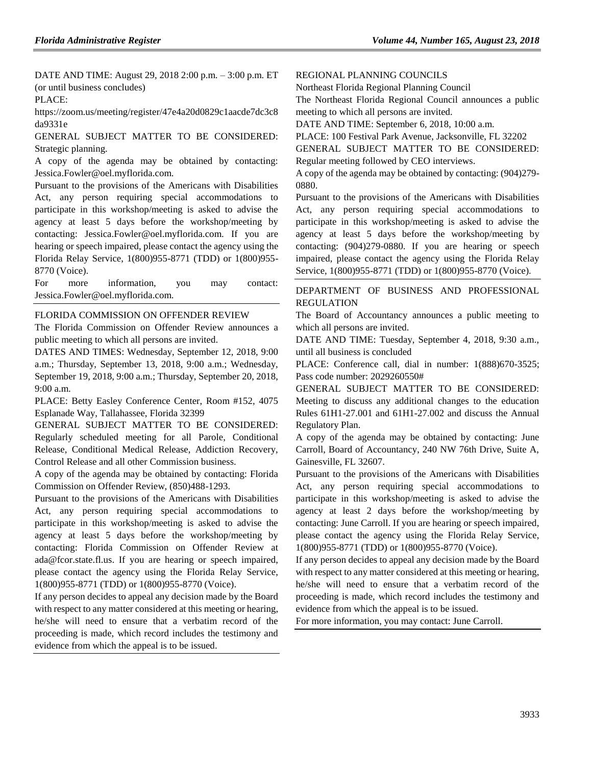DATE AND TIME: August 29, 2018 2:00 p.m. – 3:00 p.m. ET (or until business concludes)

PLACE:

https://zoom.us/meeting/register/47e4a20d0829c1aacde7dc3c8 da9331e

GENERAL SUBJECT MATTER TO BE CONSIDERED: Strategic planning.

A copy of the agenda may be obtained by contacting: Jessica.Fowler@oel.myflorida.com.

Pursuant to the provisions of the Americans with Disabilities Act, any person requiring special accommodations to participate in this workshop/meeting is asked to advise the agency at least 5 days before the workshop/meeting by contacting: Jessica.Fowler@oel.myflorida.com. If you are hearing or speech impaired, please contact the agency using the Florida Relay Service, 1(800)955-8771 (TDD) or 1(800)955- 8770 (Voice).

For more information, you may contact: Jessica.Fowler@oel.myflorida.com.

# [FLORIDA COMMISSION ON OFFENDER REVIEW](https://www.flrules.org/gateway/department.asp?id=23)

The Florida Commission on Offender Review announces a public meeting to which all persons are invited.

DATES AND TIMES: Wednesday, September 12, 2018, 9:00 a.m.; Thursday, September 13, 2018, 9:00 a.m.; Wednesday, September 19, 2018, 9:00 a.m.; Thursday, September 20, 2018, 9:00 a.m.

PLACE: Betty Easley Conference Center, Room #152, 4075 Esplanade Way, Tallahassee, Florida 32399

GENERAL SUBJECT MATTER TO BE CONSIDERED: Regularly scheduled meeting for all Parole, Conditional Release, Conditional Medical Release, Addiction Recovery, Control Release and all other Commission business.

A copy of the agenda may be obtained by contacting: Florida Commission on Offender Review, (850)488-1293.

Pursuant to the provisions of the Americans with Disabilities Act, any person requiring special accommodations to participate in this workshop/meeting is asked to advise the agency at least 5 days before the workshop/meeting by contacting: Florida Commission on Offender Review at ada@fcor.state.fl.us. If you are hearing or speech impaired, please contact the agency using the Florida Relay Service, 1(800)955-8771 (TDD) or 1(800)955-8770 (Voice).

If any person decides to appeal any decision made by the Board with respect to any matter considered at this meeting or hearing, he/she will need to ensure that a verbatim record of the proceeding is made, which record includes the testimony and evidence from which the appeal is to be issued.

#### [REGIONAL PLANNING COUNCILS](https://www.flrules.org/gateway/department.asp?id=29)

[Northeast Florida Regional Planning Council](https://www.flrules.org/gateway/organization.asp?id=60)

The Northeast Florida Regional Council announces a public meeting to which all persons are invited.

DATE AND TIME: September 6, 2018, 10:00 a.m.

PLACE: 100 Festival Park Avenue, Jacksonville, FL 32202

GENERAL SUBJECT MATTER TO BE CONSIDERED: Regular meeting followed by CEO interviews.

A copy of the agenda may be obtained by contacting: (904)279- 0880.

Pursuant to the provisions of the Americans with Disabilities Act, any person requiring special accommodations to participate in this workshop/meeting is asked to advise the agency at least 5 days before the workshop/meeting by contacting: (904)279-0880. If you are hearing or speech impaired, please contact the agency using the Florida Relay Service, 1(800)955-8771 (TDD) or 1(800)955-8770 (Voice).

[DEPARTMENT OF BUSINESS AND PROFESSIONAL](https://www.flrules.org/gateway/department.asp?id=61)  [REGULATION](https://www.flrules.org/gateway/department.asp?id=61)

The Board of Accountancy announces a public meeting to which all persons are invited.

DATE AND TIME: Tuesday, September 4, 2018, 9:30 a.m., until all business is concluded

PLACE: Conference call, dial in number: 1(888)670-3525; Pass code number: 2029260550#

GENERAL SUBJECT MATTER TO BE CONSIDERED: Meeting to discuss any additional changes to the education Rules 61H1-27.001 and 61H1-27.002 and discuss the Annual Regulatory Plan.

A copy of the agenda may be obtained by contacting: June Carroll, Board of Accountancy, 240 NW 76th Drive, Suite A, Gainesville, FL 32607.

Pursuant to the provisions of the Americans with Disabilities Act, any person requiring special accommodations to participate in this workshop/meeting is asked to advise the agency at least 2 days before the workshop/meeting by contacting: June Carroll. If you are hearing or speech impaired, please contact the agency using the Florida Relay Service, 1(800)955-8771 (TDD) or 1(800)955-8770 (Voice).

If any person decides to appeal any decision made by the Board with respect to any matter considered at this meeting or hearing, he/she will need to ensure that a verbatim record of the proceeding is made, which record includes the testimony and evidence from which the appeal is to be issued.

For more information, you may contact: June Carroll.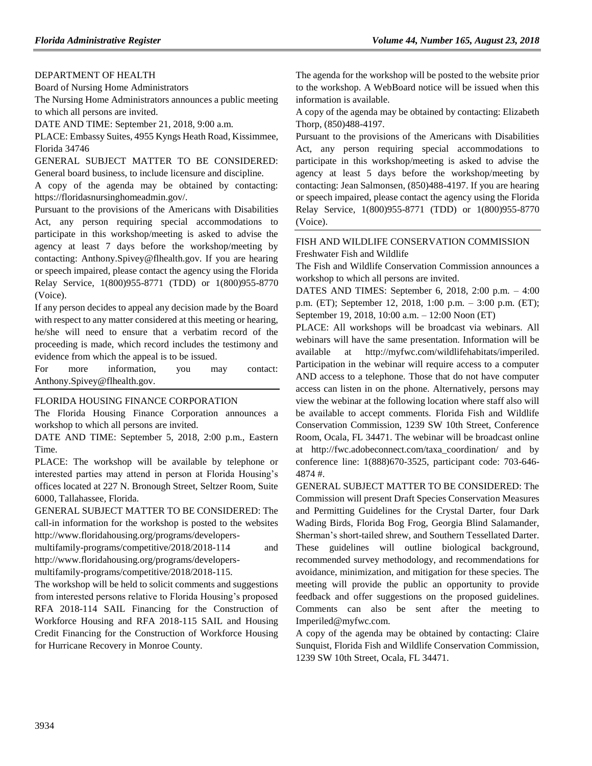# [DEPARTMENT OF HEALTH](https://www.flrules.org/gateway/department.asp?id=64)

[Board of Nursing Home Administrators](https://www.flrules.org/gateway/organization.asp?id=301)

The Nursing Home Administrators announces a public meeting to which all persons are invited.

DATE AND TIME: September 21, 2018, 9:00 a.m.

PLACE: Embassy Suites, 4955 Kyngs Heath Road, Kissimmee, Florida 34746

GENERAL SUBJECT MATTER TO BE CONSIDERED: General board business, to include licensure and discipline.

A copy of the agenda may be obtained by contacting: https://floridasnursinghomeadmin.gov/.

Pursuant to the provisions of the Americans with Disabilities Act, any person requiring special accommodations to participate in this workshop/meeting is asked to advise the agency at least 7 days before the workshop/meeting by contacting: Anthony.Spivey@flhealth.gov. If you are hearing or speech impaired, please contact the agency using the Florida Relay Service, 1(800)955-8771 (TDD) or 1(800)955-8770 (Voice).

If any person decides to appeal any decision made by the Board with respect to any matter considered at this meeting or hearing, he/she will need to ensure that a verbatim record of the proceeding is made, which record includes the testimony and evidence from which the appeal is to be issued.

For more information, you may contact: Anthony.Spivey@flhealth.gov.

# [FLORIDA HOUSING FINANCE CORPORATION](https://www.flrules.org/gateway/department.asp?id=67)

The Florida Housing Finance Corporation announces a workshop to which all persons are invited.

DATE AND TIME: September 5, 2018, 2:00 p.m., Eastern Time.

PLACE: The workshop will be available by telephone or interested parties may attend in person at Florida Housing's offices located at 227 N. Bronough Street, Seltzer Room, Suite 6000, Tallahassee, Florida.

GENERAL SUBJECT MATTER TO BE CONSIDERED: The call-in information for the workshop is posted to the websites http://www.floridahousing.org/programs/developers-

multifamily-programs/competitive/2018/2018-114 and http://www.floridahousing.org/programs/developers-

multifamily-programs/competitive/2018/2018-115.

The workshop will be held to solicit comments and suggestions from interested persons relative to Florida Housing's proposed RFA 2018-114 SAIL Financing for the Construction of Workforce Housing and RFA 2018-115 SAIL and Housing Credit Financing for the Construction of Workforce Housing for Hurricane Recovery in Monroe County.

The agenda for the workshop will be posted to the website prior to the workshop. A WebBoard notice will be issued when this information is available.

A copy of the agenda may be obtained by contacting: Elizabeth Thorp, (850)488-4197.

Pursuant to the provisions of the Americans with Disabilities Act, any person requiring special accommodations to participate in this workshop/meeting is asked to advise the agency at least 5 days before the workshop/meeting by contacting: Jean Salmonsen, (850)488-4197. If you are hearing or speech impaired, please contact the agency using the Florida Relay Service, 1(800)955-8771 (TDD) or 1(800)955-8770 (Voice).

## [FISH AND WILDLIFE CONSERVATION COMMISSION](https://www.flrules.org/gateway/department.asp?id=68) [Freshwater Fish and Wildlife](https://www.flrules.org/gateway/organization.asp?id=347)

The Fish and Wildlife Conservation Commission announces a workshop to which all persons are invited.

DATES AND TIMES: September 6, 2018, 2:00 p.m. – 4:00 p.m. (ET); September 12, 2018, 1:00 p.m. – 3:00 p.m. (ET); September 19, 2018, 10:00 a.m. – 12:00 Noon (ET)

PLACE: All workshops will be broadcast via webinars. All webinars will have the same presentation. Information will be available at http://myfwc.com/wildlifehabitats/imperiled. Participation in the webinar will require access to a computer AND access to a telephone. Those that do not have computer access can listen in on the phone. Alternatively, persons may view the webinar at the following location where staff also will be available to accept comments. Florida Fish and Wildlife Conservation Commission, 1239 SW 10th Street, Conference Room, Ocala, FL 34471. The webinar will be broadcast online at http://fwc.adobeconnect.com/taxa\_coordination/ and by conference line: 1(888)670-3525, participant code: 703-646- 4874 #.

GENERAL SUBJECT MATTER TO BE CONSIDERED: The Commission will present Draft Species Conservation Measures and Permitting Guidelines for the Crystal Darter, four Dark Wading Birds, Florida Bog Frog, Georgia Blind Salamander, Sherman's short-tailed shrew, and Southern Tessellated Darter. These guidelines will outline biological background, recommended survey methodology, and recommendations for avoidance, minimization, and mitigation for these species. The meeting will provide the public an opportunity to provide feedback and offer suggestions on the proposed guidelines. Comments can also be sent after the meeting to Imperiled@myfwc.com.

A copy of the agenda may be obtained by contacting: Claire Sunquist, Florida Fish and Wildlife Conservation Commission, 1239 SW 10th Street, Ocala, FL 34471.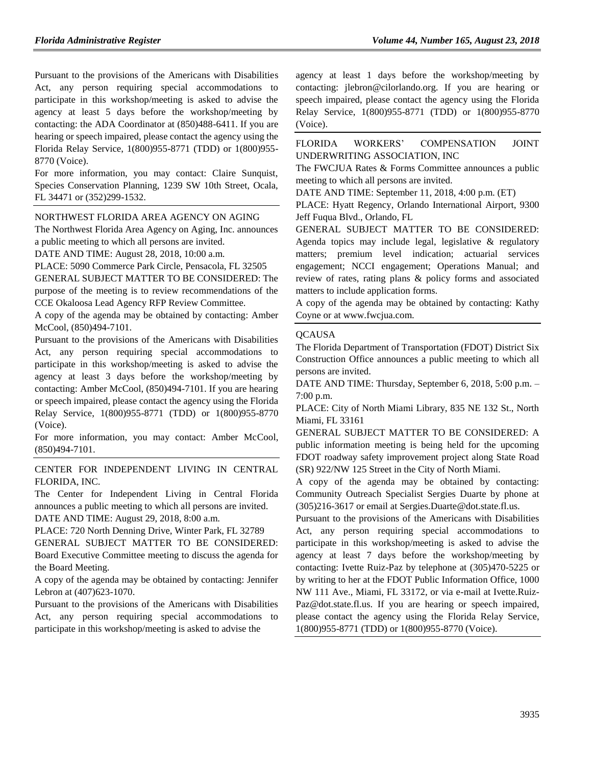Pursuant to the provisions of the Americans with Disabilities Act, any person requiring special accommodations to participate in this workshop/meeting is asked to advise the agency at least 5 days before the workshop/meeting by contacting: the ADA Coordinator at (850)488-6411. If you are hearing or speech impaired, please contact the agency using the Florida Relay Service, 1(800)955-8771 (TDD) or 1(800)955- 8770 (Voice).

For more information, you may contact: Claire Sunquist, Species Conservation Planning, 1239 SW 10th Street, Ocala, FL 34471 or (352)299-1532.

### [NORTHWEST FLORIDA AREA AGENCY ON AGING](https://www.flrules.org/gateway/organization.asp?id=798)

The Northwest Florida Area Agency on Aging, Inc. announces a public meeting to which all persons are invited.

DATE AND TIME: August 28, 2018, 10:00 a.m.

PLACE: 5090 Commerce Park Circle, Pensacola, FL 32505

GENERAL SUBJECT MATTER TO BE CONSIDERED: The purpose of the meeting is to review recommendations of the CCE Okaloosa Lead Agency RFP Review Committee.

A copy of the agenda may be obtained by contacting: Amber McCool, (850)494-7101.

Pursuant to the provisions of the Americans with Disabilities Act, any person requiring special accommodations to participate in this workshop/meeting is asked to advise the agency at least 3 days before the workshop/meeting by contacting: Amber McCool, (850)494-7101. If you are hearing or speech impaired, please contact the agency using the Florida Relay Service, 1(800)955-8771 (TDD) or 1(800)955-8770 (Voice).

For more information, you may contact: Amber McCool, (850)494-7101.

[CENTER FOR INDEPENDENT LIVING IN CENTRAL](https://www.flrules.org/gateway/organization.asp?id=760)  [FLORIDA, INC.](https://www.flrules.org/gateway/organization.asp?id=760)

The Center for Independent Living in Central Florida announces a public meeting to which all persons are invited. DATE AND TIME: August 29, 2018, 8:00 a.m.

PLACE: 720 North Denning Drive, Winter Park, FL 32789 GENERAL SUBJECT MATTER TO BE CONSIDERED: Board Executive Committee meeting to discuss the agenda for the Board Meeting.

A copy of the agenda may be obtained by contacting: Jennifer Lebron at (407)623-1070.

Pursuant to the provisions of the Americans with Disabilities Act, any person requiring special accommodations to participate in this workshop/meeting is asked to advise the

agency at least 1 days before the workshop/meeting by contacting: jlebron@cilorlando.org. If you are hearing or speech impaired, please contact the agency using the Florida Relay Service, 1(800)955-8771 (TDD) or 1(800)955-8770 (Voice).

[FLORIDA WORKERS' COMPENSATION JOINT](https://www.flrules.org/gateway/organization.asp?id=757)  [UNDERWRITING ASSOCIATION, INC](https://www.flrules.org/gateway/organization.asp?id=757)

The FWCJUA Rates & Forms Committee announces a public meeting to which all persons are invited.

DATE AND TIME: September 11, 2018, 4:00 p.m. (ET)

PLACE: Hyatt Regency, Orlando International Airport, 9300 Jeff Fuqua Blvd., Orlando, FL

GENERAL SUBJECT MATTER TO BE CONSIDERED: Agenda topics may include legal, legislative & regulatory matters; premium level indication; actuarial services engagement; NCCI engagement; Operations Manual; and review of rates, rating plans & policy forms and associated matters to include application forms.

A copy of the agenda may be obtained by contacting: Kathy Coyne or at www.fwcjua.com.

## **[QCAUSA](https://www.flrules.org/gateway/organization.asp?id=991)**

The Florida Department of Transportation (FDOT) District Six Construction Office announces a public meeting to which all persons are invited.

DATE AND TIME: Thursday, September 6, 2018, 5:00 p.m. – 7:00 p.m.

PLACE: City of North Miami Library, 835 NE 132 St., North Miami, FL 33161

GENERAL SUBJECT MATTER TO BE CONSIDERED: A public information meeting is being held for the upcoming FDOT roadway safety improvement project along State Road (SR) 922/NW 125 Street in the City of North Miami.

A copy of the agenda may be obtained by contacting: Community Outreach Specialist Sergies Duarte by phone at (305)216-3617 or email at Sergies.Duarte@dot.state.fl.us.

Pursuant to the provisions of the Americans with Disabilities Act, any person requiring special accommodations to participate in this workshop/meeting is asked to advise the agency at least 7 days before the workshop/meeting by contacting: Ivette Ruiz-Paz by telephone at (305)470-5225 or by writing to her at the FDOT Public Information Office, 1000 NW 111 Ave., Miami, FL 33172, or via e-mail at Ivette.Ruiz-Paz@dot.state.fl.us. If you are hearing or speech impaired, please contact the agency using the Florida Relay Service, 1(800)955-8771 (TDD) or 1(800)955-8770 (Voice).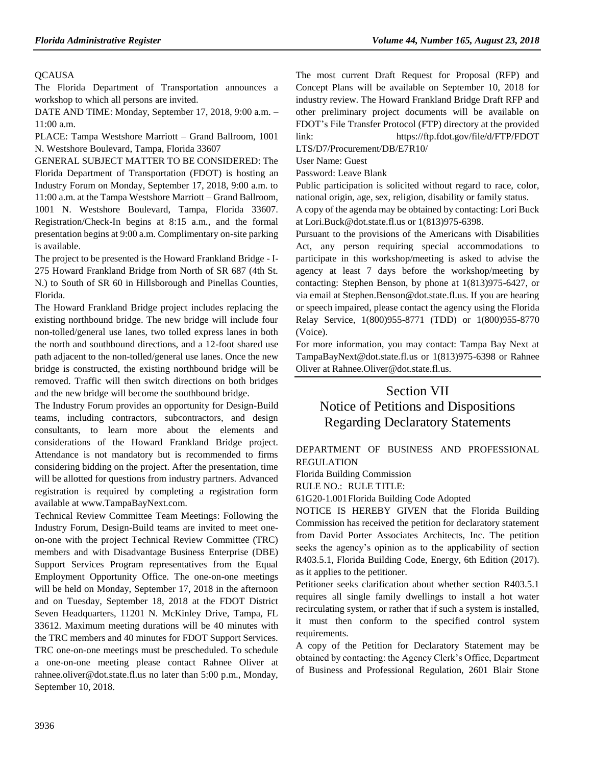# **[QCAUSA](https://www.flrules.org/gateway/organization.asp?id=991)**

The Florida Department of Transportation announces a workshop to which all persons are invited.

DATE AND TIME: Monday, September 17, 2018, 9:00 a.m. – 11:00 a.m.

PLACE: Tampa Westshore Marriott – Grand Ballroom, 1001 N. Westshore Boulevard, Tampa, Florida 33607

GENERAL SUBJECT MATTER TO BE CONSIDERED: The Florida Department of Transportation (FDOT) is hosting an Industry Forum on Monday, September 17, 2018, 9:00 a.m. to 11:00 a.m. at the Tampa Westshore Marriott – Grand Ballroom, 1001 N. Westshore Boulevard, Tampa, Florida 33607. Registration/Check-In begins at 8:15 a.m., and the formal presentation begins at 9:00 a.m. Complimentary on-site parking is available.

The project to be presented is the Howard Frankland Bridge - I-275 Howard Frankland Bridge from North of SR 687 (4th St. N.) to South of SR 60 in Hillsborough and Pinellas Counties, Florida.

The Howard Frankland Bridge project includes replacing the existing northbound bridge. The new bridge will include four non-tolled/general use lanes, two tolled express lanes in both the north and southbound directions, and a 12-foot shared use path adjacent to the non-tolled/general use lanes. Once the new bridge is constructed, the existing northbound bridge will be removed. Traffic will then switch directions on both bridges and the new bridge will become the southbound bridge.

The Industry Forum provides an opportunity for Design-Build teams, including contractors, subcontractors, and design consultants, to learn more about the elements and considerations of the Howard Frankland Bridge project. Attendance is not mandatory but is recommended to firms considering bidding on the project. After the presentation, time will be allotted for questions from industry partners. Advanced registration is required by completing a registration form available at www.TampaBayNext.com.

Technical Review Committee Team Meetings: Following the Industry Forum, Design-Build teams are invited to meet oneon-one with the project Technical Review Committee (TRC) members and with Disadvantage Business Enterprise (DBE) Support Services Program representatives from the Equal Employment Opportunity Office. The one-on-one meetings will be held on Monday, September 17, 2018 in the afternoon and on Tuesday, September 18, 2018 at the FDOT District Seven Headquarters, 11201 N. McKinley Drive, Tampa, FL 33612. Maximum meeting durations will be 40 minutes with the TRC members and 40 minutes for FDOT Support Services. TRC one-on-one meetings must be prescheduled. To schedule a one-on-one meeting please contact Rahnee Oliver at rahnee.oliver@dot.state.fl.us no later than 5:00 p.m., Monday, September 10, 2018.

The most current Draft Request for Proposal (RFP) and Concept Plans will be available on September 10, 2018 for industry review. The Howard Frankland Bridge Draft RFP and other preliminary project documents will be available on FDOT's File Transfer Protocol (FTP) directory at the provided link: https://ftp.fdot.gov/file/d/FTP/FDOT

LTS/D7/Procurement/DB/E7R10/

User Name: Guest

Password: Leave Blank

Public participation is solicited without regard to race, color, national origin, age, sex, religion, disability or family status.

A copy of the agenda may be obtained by contacting: Lori Buck at Lori.Buck@dot.state.fl.us or 1(813)975-6398.

Pursuant to the provisions of the Americans with Disabilities Act, any person requiring special accommodations to participate in this workshop/meeting is asked to advise the agency at least 7 days before the workshop/meeting by contacting: Stephen Benson, by phone at 1(813)975-6427, or via email at Stephen.Benson@dot.state.fl.us. If you are hearing or speech impaired, please contact the agency using the Florida Relay Service, 1(800)955-8771 (TDD) or 1(800)955-8770 (Voice).

For more information, you may contact: Tampa Bay Next at TampaBayNext@dot.state.fl.us or 1(813)975-6398 or Rahnee Oliver at Rahnee.Oliver@dot.state.fl.us.

# Section VII Notice of Petitions and Dispositions Regarding Declaratory Statements

[DEPARTMENT OF BUSINESS AND PROFESSIONAL](https://www.flrules.org/gateway/department.asp?id=61)  [REGULATION](https://www.flrules.org/gateway/department.asp?id=61)

[Florida Building Commission](https://www.flrules.org/gateway/organization.asp?id=1071)

RULE NO.: RULE TITLE:

[61G20-1.001F](https://www.flrules.org/gateway/ruleNo.asp?id=61G20-1.001)lorida Building Code Adopted

NOTICE IS HEREBY GIVEN that the Florida Building Commission has received the petition for declaratory statement from David Porter Associates Architects, Inc. The petition seeks the agency's opinion as to the applicability of section R403.5.1, Florida Building Code, Energy, 6th Edition (2017). as it applies to the petitioner.

Petitioner seeks clarification about whether section R403.5.1 requires all single family dwellings to install a hot water recirculating system, or rather that if such a system is installed, it must then conform to the specified control system requirements.

A copy of the Petition for Declaratory Statement may be obtained by contacting: the Agency Clerk's Office, Department of Business and Professional Regulation, 2601 Blair Stone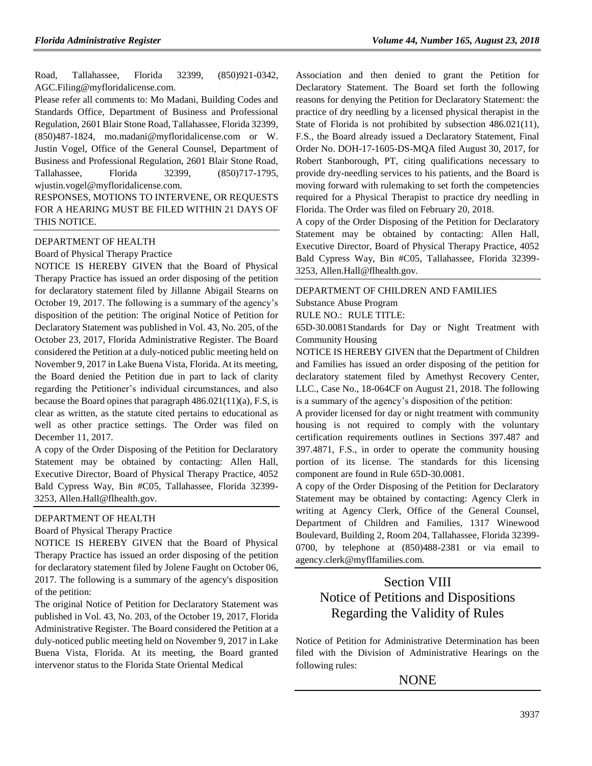Road, Tallahassee, Florida 32399, (850)921-0342, AGC.Filing@myfloridalicense.com.

Please refer all comments to: Mo Madani, Building Codes and Standards Office, Department of Business and Professional Regulation, 2601 Blair Stone Road, Tallahassee, Florida 32399, (850)487-1824, mo.madani@myfloridalicense.com or W. Justin Vogel, Office of the General Counsel, Department of Business and Professional Regulation, 2601 Blair Stone Road, Tallahassee, Florida 32399, (850)717-1795, wjustin.vogel@myfloridalicense.com.

RESPONSES, MOTIONS TO INTERVENE, OR REQUESTS FOR A HEARING MUST BE FILED WITHIN 21 DAYS OF THIS NOTICE.

[DEPARTMENT OF HEALTH](https://www.flrules.org/gateway/department.asp?id=64)

[Board of Physical Therapy Practice](https://www.flrules.org/gateway/organization.asp?id=308)

NOTICE IS HEREBY GIVEN that the Board of Physical Therapy Practice has issued an order disposing of the petition for declaratory statement filed by Jillanne Abigail Stearns on October 19, 2017. The following is a summary of the agency's disposition of the petition: The original Notice of Petition for Declaratory Statement was published in Vol. 43, No. 205, of the October 23, 2017, Florida Administrative Register. The Board considered the Petition at a duly-noticed public meeting held on November 9, 2017 in Lake Buena Vista, Florida. At its meeting, the Board denied the Petition due in part to lack of clarity regarding the Petitioner's individual circumstances, and also because the Board opines that paragraph  $486.021(11)(a)$ , F.S. is clear as written, as the statute cited pertains to educational as well as other practice settings. The Order was filed on December 11, 2017.

A copy of the Order Disposing of the Petition for Declaratory Statement may be obtained by contacting: Allen Hall, Executive Director, Board of Physical Therapy Practice, 4052 Bald Cypress Way, Bin #C05, Tallahassee, Florida 32399- 3253, Allen.Hall@flhealth.gov.

#### [DEPARTMENT OF HEALTH](https://www.flrules.org/gateway/department.asp?id=64)

[Board of Physical Therapy Practice](https://www.flrules.org/gateway/organization.asp?id=308)

NOTICE IS HEREBY GIVEN that the Board of Physical Therapy Practice has issued an order disposing of the petition for declaratory statement filed by Jolene Faught on October 06, 2017. The following is a summary of the agency's disposition of the petition:

The original Notice of Petition for Declaratory Statement was published in Vol. 43, No. 203, of the October 19, 2017, Florida Administrative Register. The Board considered the Petition at a duly-noticed public meeting held on November 9, 2017 in Lake Buena Vista, Florida. At its meeting, the Board granted intervenor status to the Florida State Oriental Medical

Association and then denied to grant the Petition for Declaratory Statement. The Board set forth the following reasons for denying the Petition for Declaratory Statement: the practice of dry needling by a licensed physical therapist in the State of Florida is not prohibited by subsection 486.021(11), F.S., the Board already issued a Declaratory Statement, Final Order No. DOH-17-1605-DS-MQA filed August 30, 2017, for Robert Stanborough, PT, citing qualifications necessary to provide dry-needling services to his patients, and the Board is moving forward with rulemaking to set forth the competencies required for a Physical Therapist to practice dry needling in Florida. The Order was filed on February 20, 2018.

A copy of the Order Disposing of the Petition for Declaratory Statement may be obtained by contacting: Allen Hall, Executive Director, Board of Physical Therapy Practice, 4052 Bald Cypress Way, Bin #C05, Tallahassee, Florida 32399- 3253, Allen.Hall@flhealth.gov.

# [DEPARTMENT OF CHILDREN AND FAMILIES](https://www.flrules.org/gateway/department.asp?id=65)

[Substance Abuse Program](https://www.flrules.org/gateway/organization.asp?id=343) RULE NO.: RULE TITLE:

[65D-30.0081S](https://www.flrules.org/gateway/ruleNo.asp?id=65D-30.0081)tandards for Day or Night Treatment with Community Housing

NOTICE IS HEREBY GIVEN that the Department of Children and Families has issued an order disposing of the petition for declaratory statement filed by Amethyst Recovery Center, LLC., Case No., 18-064CF on August 21, 2018. The following is a summary of the agency's disposition of the petition:

A provider licensed for day or night treatment with community housing is not required to comply with the voluntary certification requirements outlines in Sections 397.487 and 397.4871, F.S., in order to operate the community housing portion of its license. The standards for this licensing component are found in Rule 65D-30.0081.

A copy of the Order Disposing of the Petition for Declaratory Statement may be obtained by contacting: Agency Clerk in writing at Agency Clerk, Office of the General Counsel, Department of Children and Families, 1317 Winewood Boulevard, Building 2, Room 204, Tallahassee, Florida 32399- 0700, by telephone at (850)488-2381 or via email to agency.clerk@myflfamilies.com.

# Section VIII Notice of Petitions and Dispositions Regarding the Validity of Rules

Notice of Petition for Administrative Determination has been filed with the Division of Administrative Hearings on the following rules:

# NONE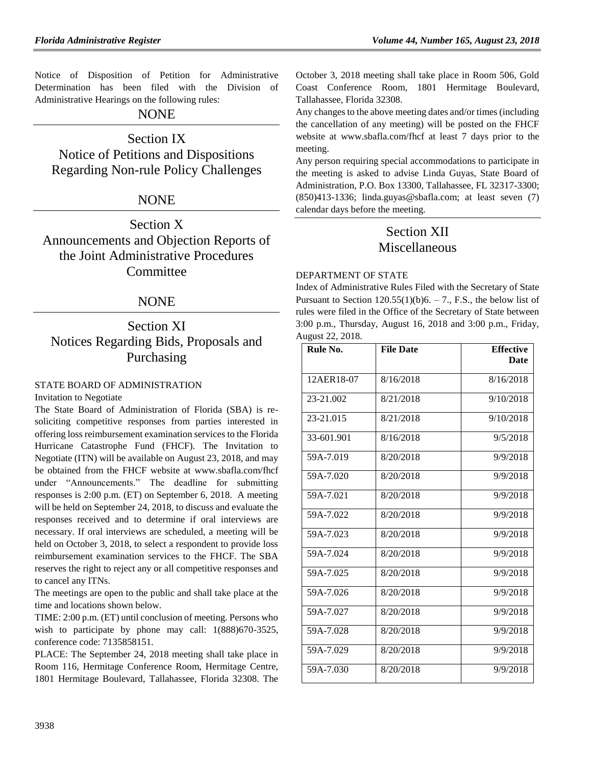Notice of Disposition of Petition for Administrative Determination has been filed with the Division of Administrative Hearings on the following rules:

# NONE

# Section IX

Notice of Petitions and Dispositions Regarding Non-rule Policy Challenges

# NONE

Section X Announcements and Objection Reports of the Joint Administrative Procedures **Committee** 

# NONE

# Section XI Notices Regarding Bids, Proposals and Purchasing

# [STATE BOARD OF ADMINISTRATION](https://www.flrules.org/gateway/department.asp?id=19)

Invitation to Negotiate

The State Board of Administration of Florida (SBA) is resoliciting competitive responses from parties interested in offering loss reimbursement examination services to the Florida Hurricane Catastrophe Fund (FHCF). The Invitation to Negotiate (ITN) will be available on August 23, 2018, and may be obtained from the FHCF website at [www.sbafla.com/fhcf](http://www.sbafla.com/fhcf) under "Announcements." The deadline for submitting responses is 2:00 p.m. (ET) on September 6, 2018. A meeting will be held on September 24, 2018, to discuss and evaluate the responses received and to determine if oral interviews are necessary. If oral interviews are scheduled, a meeting will be held on October 3, 2018, to select a respondent to provide loss reimbursement examination services to the FHCF. The SBA reserves the right to reject any or all competitive responses and to cancel any ITNs.

The meetings are open to the public and shall take place at the time and locations shown below.

TIME: 2:00 p.m. (ET) until conclusion of meeting. Persons who wish to participate by phone may call: 1(888)670-3525, conference code: 7135858151.

PLACE: The September 24, 2018 meeting shall take place in Room 116, Hermitage Conference Room, Hermitage Centre, 1801 Hermitage Boulevard, Tallahassee, Florida 32308. The

October 3, 2018 meeting shall take place in Room 506, Gold Coast Conference Room, 1801 Hermitage Boulevard, Tallahassee, Florida 32308.

Any changes to the above meeting dates and/or times (including the cancellation of any meeting) will be posted on the FHCF website at [www.sbafla.com/fhcf](http://www.sbafla.com/fhcf) at least 7 days prior to the meeting.

Any person requiring special accommodations to participate in the meeting is asked to advise Linda Guyas, State Board of Administration, P.O. Box 13300, Tallahassee, FL 32317-3300; (850)413-1336; linda.guyas@sbafla.com; at least seven (7) calendar days before the meeting.

# Section XII **Miscellaneous**

### [DEPARTMENT OF STATE](https://www.flrules.org/gateway/department.asp?id=1)

Index of Administrative Rules Filed with the Secretary of State Pursuant to Section  $120.55(1)(b)6. - 7$ ., F.S., the below list of rules were filed in the Office of the Secretary of State between 3:00 p.m., Thursday, August 16, 2018 and 3:00 p.m., Friday, August 22, 2018.

| Rule No.   | <b>File Date</b> | <b>Effective</b> |
|------------|------------------|------------------|
|            |                  | Date             |
| 12AER18-07 | 8/16/2018        | 8/16/2018        |
| 23-21.002  | 8/21/2018        | 9/10/2018        |
| 23-21.015  | 8/21/2018        | 9/10/2018        |
| 33-601.901 | 8/16/2018        | 9/5/2018         |
| 59A-7.019  | 8/20/2018        | 9/9/2018         |
| 59A-7.020  | 8/20/2018        | 9/9/2018         |
| 59A-7.021  | 8/20/2018        | 9/9/2018         |
| 59A-7.022  | 8/20/2018        | 9/9/2018         |
| 59A-7.023  | 8/20/2018        | 9/9/2018         |
| 59A-7.024  | 8/20/2018        | 9/9/2018         |
| 59A-7.025  | 8/20/2018        | 9/9/2018         |
| 59A-7.026  | 8/20/2018        | 9/9/2018         |
| 59A-7.027  | 8/20/2018        | 9/9/2018         |
| 59A-7.028  | 8/20/2018        | 9/9/2018         |
| 59A-7.029  | 8/20/2018        | 9/9/2018         |
| 59A-7.030  | 8/20/2018        | 9/9/2018         |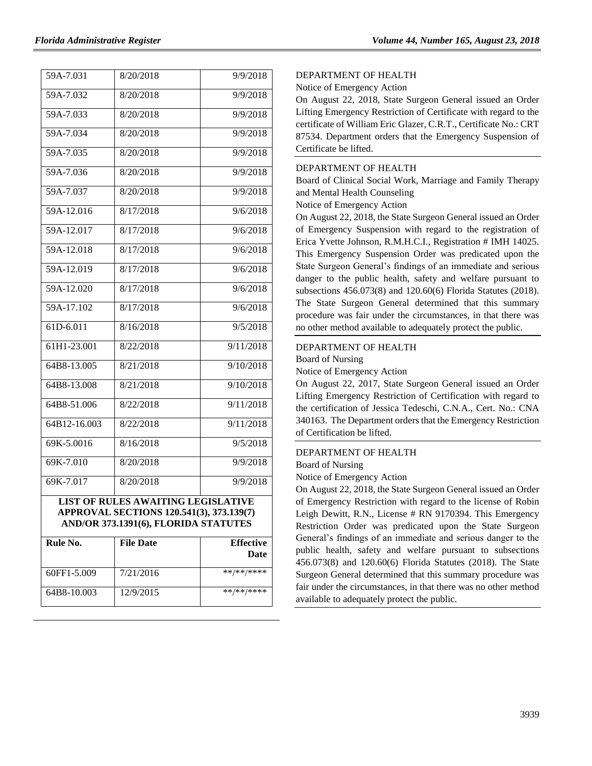| 59A-7.031                                                                      | 8/20/2018 | $\frac{1}{9}{9/2018}$       |  |  |
|--------------------------------------------------------------------------------|-----------|-----------------------------|--|--|
| 59A-7.032                                                                      | 8/20/2018 | 9/9/2018                    |  |  |
| 59A-7.033                                                                      | 8/20/2018 | 9/9/2018                    |  |  |
| 59A-7.034                                                                      | 8/20/2018 | 9/9/2018                    |  |  |
| 59A-7.035                                                                      | 8/20/2018 | 9/9/2018                    |  |  |
| 59A-7.036                                                                      | 8/20/2018 | 9/9/2018                    |  |  |
| 59A-7.037                                                                      | 8/20/2018 | 9/9/2018                    |  |  |
| 59A-12.016                                                                     | 8/17/2018 | 9/6/2018                    |  |  |
| 59A-12.017                                                                     | 8/17/2018 | 9/6/2018                    |  |  |
| 59A-12.018                                                                     | 8/17/2018 | 9/6/2018                    |  |  |
| 59A-12.019                                                                     | 8/17/2018 | 9/6/2018                    |  |  |
| 59A-12.020                                                                     | 8/17/2018 | 9/6/2018                    |  |  |
| $59A-17.102$                                                                   | 8/17/2018 | 9/6/2018                    |  |  |
| 61D-6.011                                                                      | 8/16/2018 | 9/5/2018                    |  |  |
| 61H1-23.001                                                                    | 8/22/2018 | 9/11/2018                   |  |  |
| 64B8-13.005                                                                    | 8/21/2018 | 9/10/2018                   |  |  |
| $64B8 - 13.008$                                                                | 8/21/2018 | 9/10/2018                   |  |  |
| 64B8-51.006                                                                    | 8/22/2018 | 9/11/2018                   |  |  |
| $64B12 - 16.003$                                                               | 8/22/2018 | $\frac{9}{11}{\sqrt{20}}18$ |  |  |
| 69K-5.0016                                                                     | 8/16/2018 | 9/5/2018                    |  |  |
| 69K-7.010                                                                      | 8/20/2018 | 9/9/2018                    |  |  |
| 69K-7.017                                                                      | 8/20/2018 | 9/9/2018                    |  |  |
| LIST OF RULES AWAITING LEGISLATIVE<br>APPROVAL SECTIONS 120.541(3), 373.139(7) |           |                             |  |  |
| AND/OR 373.1391(6), FLORIDA STATUTES                                           |           |                             |  |  |
| Rule No                                                                        | File Dote | Fffective                   |  |  |

| Rule No.    | <b>File Date</b> | <b>Effective</b><br>Date |
|-------------|------------------|--------------------------|
| 60FF1-5.009 | 7/21/2016        | **/**/****               |
| 64B8-10.003 | 12/9/2015        | **/**/****               |

### [DEPARTMENT OF HEALTH](https://www.flrules.org/gateway/department.asp?id=64)

Notice of Emergency Action

On August 22, 2018, State Surgeon General issued an Order Lifting Emergency Restriction of Certificate with regard to the certificate of William Eric Glazer, C.R.T., Certificate No.: CRT 87534. Department orders that the Emergency Suspension of Certificate be lifted.

## [DEPARTMENT OF HEALTH](https://www.flrules.org/gateway/department.asp?id=64)

[Board of Clinical Social Work, Marriage and Family Therapy](https://www.flrules.org/gateway/organization.asp?id=327)  [and Mental Health Counseling](https://www.flrules.org/gateway/organization.asp?id=327)

Notice of Emergency Action

On August 22, 2018, the State Surgeon General issued an Order of Emergency Suspension with regard to the registration of Erica Yvette Johnson, R.M.H.C.I., Registration # IMH 14025. This Emergency Suspension Order was predicated upon the State Surgeon General's findings of an immediate and serious danger to the public health, safety and welfare pursuant to subsections 456.073(8) and 120.60(6) Florida Statutes (2018). The State Surgeon General determined that this summary procedure was fair under the circumstances, in that there was no other method available to adequately protect the public.

### [DEPARTMENT OF HEALTH](https://www.flrules.org/gateway/department.asp?id=64)

[Board of Nursing](https://www.flrules.org/gateway/organization.asp?id=332)

Notice of Emergency Action

On August 22, 2017, State Surgeon General issued an Order Lifting Emergency Restriction of Certification with regard to the certification of Jessica Tedeschi, C.N.A., Cert. No.: CNA 340163. The Department orders that the Emergency Restriction of Certification be lifted.

## [DEPARTMENT OF HEALTH](https://www.flrules.org/gateway/department.asp?id=64)

[Board of Nursing](https://www.flrules.org/gateway/organization.asp?id=332)

Notice of Emergency Action

On August 22, 2018, the State Surgeon General issued an Order of Emergency Restriction with regard to the license of Robin Leigh Dewitt, R.N., License # RN 9170394. This Emergency Restriction Order was predicated upon the State Surgeon General's findings of an immediate and serious danger to the public health, safety and welfare pursuant to subsections 456.073(8) and 120.60(6) Florida Statutes (2018). The State Surgeon General determined that this summary procedure was fair under the circumstances, in that there was no other method available to adequately protect the public.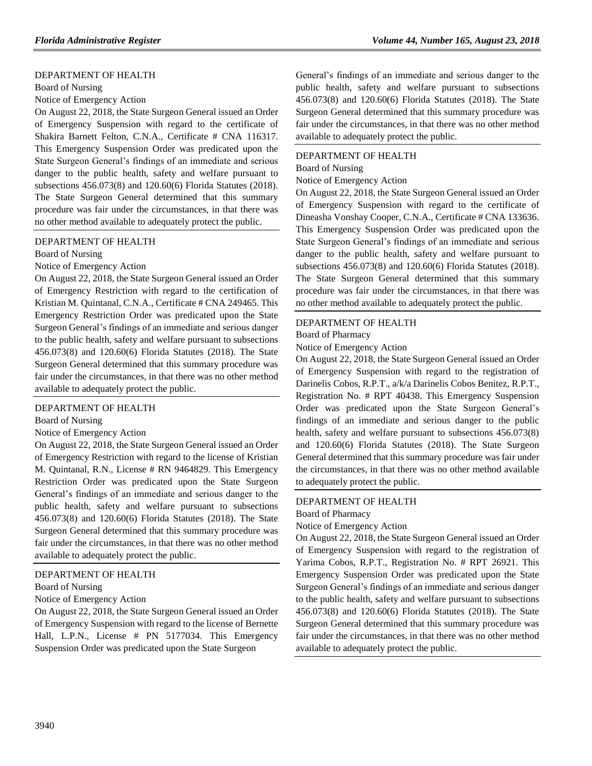### [DEPARTMENT OF HEALTH](https://www.flrules.org/gateway/department.asp?id=64)

[Board of Nursing](https://www.flrules.org/gateway/organization.asp?id=332)

Notice of Emergency Action

On August 22, 2018, the State Surgeon General issued an Order of Emergency Suspension with regard to the certificate of Shakira Barnett Felton, C.N.A., Certificate # CNA 116317. This Emergency Suspension Order was predicated upon the State Surgeon General's findings of an immediate and serious danger to the public health, safety and welfare pursuant to subsections 456.073(8) and 120.60(6) Florida Statutes (2018). The State Surgeon General determined that this summary procedure was fair under the circumstances, in that there was no other method available to adequately protect the public.

### [DEPARTMENT OF HEALTH](https://www.flrules.org/gateway/department.asp?id=64)

[Board of Nursing](https://www.flrules.org/gateway/organization.asp?id=332)

Notice of Emergency Action

On August 22, 2018, the State Surgeon General issued an Order of Emergency Restriction with regard to the certification of Kristian M. Quintanal, C.N.A., Certificate # CNA 249465. This Emergency Restriction Order was predicated upon the State Surgeon General's findings of an immediate and serious danger to the public health, safety and welfare pursuant to subsections 456.073(8) and 120.60(6) Florida Statutes (2018). The State Surgeon General determined that this summary procedure was fair under the circumstances, in that there was no other method available to adequately protect the public.

#### [DEPARTMENT OF HEALTH](https://www.flrules.org/gateway/department.asp?id=64)

[Board of Nursing](https://www.flrules.org/gateway/organization.asp?id=332)

#### Notice of Emergency Action

On August 22, 2018, the State Surgeon General issued an Order of Emergency Restriction with regard to the license of Kristian M. Quintanal, R.N., License # RN 9464829. This Emergency Restriction Order was predicated upon the State Surgeon General's findings of an immediate and serious danger to the public health, safety and welfare pursuant to subsections 456.073(8) and 120.60(6) Florida Statutes (2018). The State Surgeon General determined that this summary procedure was fair under the circumstances, in that there was no other method available to adequately protect the public.

#### [DEPARTMENT OF HEALTH](https://www.flrules.org/gateway/department.asp?id=64)

#### [Board of Nursing](https://www.flrules.org/gateway/organization.asp?id=332)

### Notice of Emergency Action

On August 22, 2018, the State Surgeon General issued an Order of Emergency Suspension with regard to the license of Bernette Hall, L.P.N., License # PN 5177034. This Emergency Suspension Order was predicated upon the State Surgeon

General's findings of an immediate and serious danger to the public health, safety and welfare pursuant to subsections 456.073(8) and 120.60(6) Florida Statutes (2018). The State Surgeon General determined that this summary procedure was fair under the circumstances, in that there was no other method available to adequately protect the public.

## [DEPARTMENT OF HEALTH](https://www.flrules.org/gateway/department.asp?id=64)

[Board of Nursing](https://www.flrules.org/gateway/organization.asp?id=332)

Notice of Emergency Action

On August 22, 2018, the State Surgeon General issued an Order of Emergency Suspension with regard to the certificate of Dineasha Vonshay Cooper, C.N.A., Certificate # CNA 133636. This Emergency Suspension Order was predicated upon the State Surgeon General's findings of an immediate and serious danger to the public health, safety and welfare pursuant to subsections 456.073(8) and 120.60(6) Florida Statutes (2018). The State Surgeon General determined that this summary procedure was fair under the circumstances, in that there was no other method available to adequately protect the public.

#### [DEPARTMENT OF HEALTH](https://www.flrules.org/gateway/department.asp?id=64)

### [Board of Pharmacy](https://www.flrules.org/gateway/organization.asp?id=307)

Notice of Emergency Action

On August 22, 2018, the State Surgeon General issued an Order of Emergency Suspension with regard to the registration of Darinelis Cobos, R.P.T., a/k/a Darinelis Cobos Benitez, R.P.T., Registration No. # RPT 40438. This Emergency Suspension Order was predicated upon the State Surgeon General's findings of an immediate and serious danger to the public health, safety and welfare pursuant to subsections  $456.073(8)$ and 120.60(6) Florida Statutes (2018). The State Surgeon General determined that this summary procedure was fair under the circumstances, in that there was no other method available to adequately protect the public.

#### [DEPARTMENT OF HEALTH](https://www.flrules.org/gateway/department.asp?id=64)

[Board of Pharmacy](https://www.flrules.org/gateway/organization.asp?id=307)

Notice of Emergency Action

On August 22, 2018, the State Surgeon General issued an Order of Emergency Suspension with regard to the registration of Yarima Cobos, R.P.T., Registration No. # RPT 26921. This Emergency Suspension Order was predicated upon the State Surgeon General's findings of an immediate and serious danger to the public health, safety and welfare pursuant to subsections 456.073(8) and 120.60(6) Florida Statutes (2018). The State Surgeon General determined that this summary procedure was fair under the circumstances, in that there was no other method available to adequately protect the public.